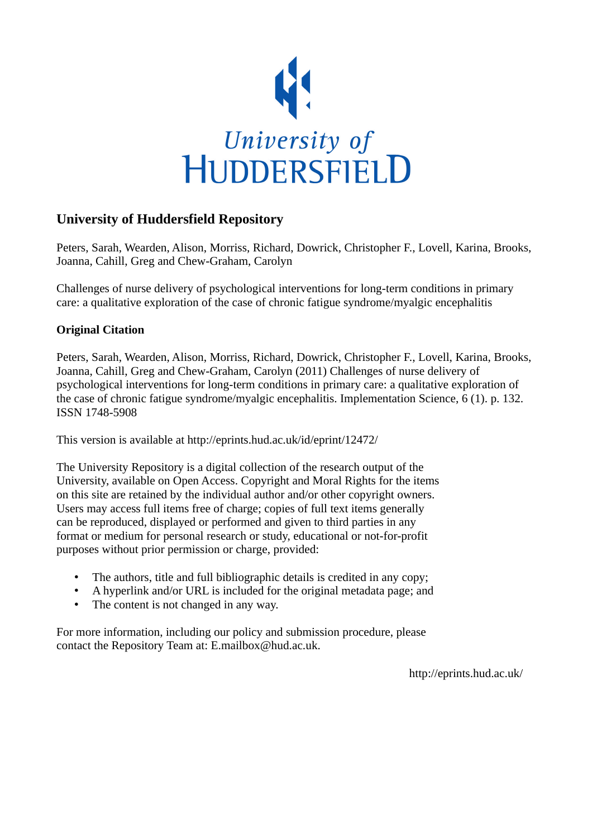

## **University of Huddersfield Repository**

Peters, Sarah, Wearden, Alison, Morriss, Richard, Dowrick, Christopher F., Lovell, Karina, Brooks, Joanna, Cahill, Greg and Chew-Graham, Carolyn

Challenges of nurse delivery of psychological interventions for long-term conditions in primary care: a qualitative exploration of the case of chronic fatigue syndrome/myalgic encephalitis

## **Original Citation**

Peters, Sarah, Wearden, Alison, Morriss, Richard, Dowrick, Christopher F., Lovell, Karina, Brooks, Joanna, Cahill, Greg and Chew-Graham, Carolyn (2011) Challenges of nurse delivery of psychological interventions for long-term conditions in primary care: a qualitative exploration of the case of chronic fatigue syndrome/myalgic encephalitis. Implementation Science, 6 (1). p. 132. ISSN 1748-5908

This version is available at http://eprints.hud.ac.uk/id/eprint/12472/

The University Repository is a digital collection of the research output of the University, available on Open Access. Copyright and Moral Rights for the items on this site are retained by the individual author and/or other copyright owners. Users may access full items free of charge; copies of full text items generally can be reproduced, displayed or performed and given to third parties in any format or medium for personal research or study, educational or not-for-profit purposes without prior permission or charge, provided:

- The authors, title and full bibliographic details is credited in any copy;
- A hyperlink and/or URL is included for the original metadata page; and
- The content is not changed in any way.

For more information, including our policy and submission procedure, please contact the Repository Team at: E.mailbox@hud.ac.uk.

http://eprints.hud.ac.uk/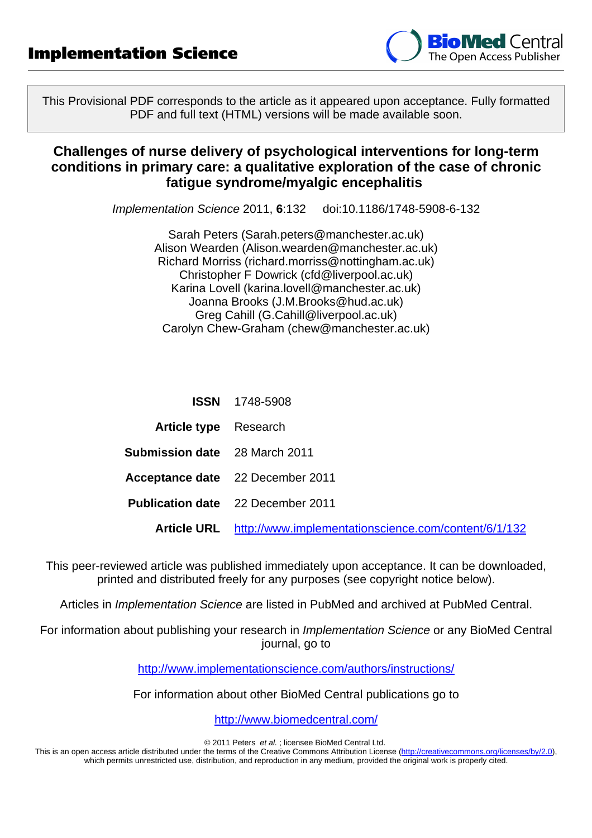

This Provisional PDF corresponds to the article as it appeared upon acceptance. Fully formatted PDF and full text (HTML) versions will be made available soon.

## **Challenges of nurse delivery of psychological interventions for long-term conditions in primary care: a qualitative exploration of the case of chronic fatigue syndrome/myalgic encephalitis**

Implementation Science 2011, **6**:132 doi:10.1186/1748-5908-6-132

Sarah Peters ([Sarah.peters@manchester.ac.uk](mailto:Sarah.peters@manchester.ac.uk)) Alison Wearden [\(Alison.wearden@manchester.ac.uk](mailto:Alison.wearden@manchester.ac.uk)) Richard Morriss ([richard.morriss@nottingham.ac.uk\)](mailto:richard.morriss@nottingham.ac.uk) Christopher F Dowrick [\(cfd@liverpool.ac.uk](mailto:cfd@liverpool.ac.uk)) Karina Lovell ([karina.lovell@manchester.ac.uk](mailto:karina.lovell@manchester.ac.uk)) Joanna Brooks [\(J.M.Brooks@hud.ac.uk](mailto:J.M.Brooks@hud.ac.uk)) Greg Cahill ([G.Cahill@liverpool.ac.uk](mailto:G.Cahill@liverpool.ac.uk)) Carolyn Chew-Graham [\(chew@manchester.ac.uk](mailto:chew@manchester.ac.uk))

|                                      | <b>ISSN</b> 1748-5908                    |
|--------------------------------------|------------------------------------------|
| <b>Article type</b> Research         |                                          |
| <b>Submission date</b> 28 March 2011 |                                          |
|                                      | Acceptance date 22 December 2011         |
|                                      | <b>Publication date</b> 22 December 2011 |

**Article URL** <http://www.implementationscience.com/content/6/1/132>

This peer-reviewed article was published immediately upon acceptance. It can be downloaded, printed and distributed freely for any purposes (see copyright notice below).

Articles in Implementation Science are listed in PubMed and archived at PubMed Central.

For information about publishing your research in Implementation Science or any BioMed Central journal, go to

<http://www.implementationscience.com/authors/instructions/>

For information about other BioMed Central publications go to

<http://www.biomedcentral.com/>

© 2011 Peters et al. ; licensee BioMed Central Ltd.

This is an open access article distributed under the terms of the Creative Commons Attribution License [\(http://creativecommons.org/licenses/by/2.0](http://creativecommons.org/licenses/by/2.0)), which permits unrestricted use, distribution, and reproduction in any medium, provided the original work is properly cited.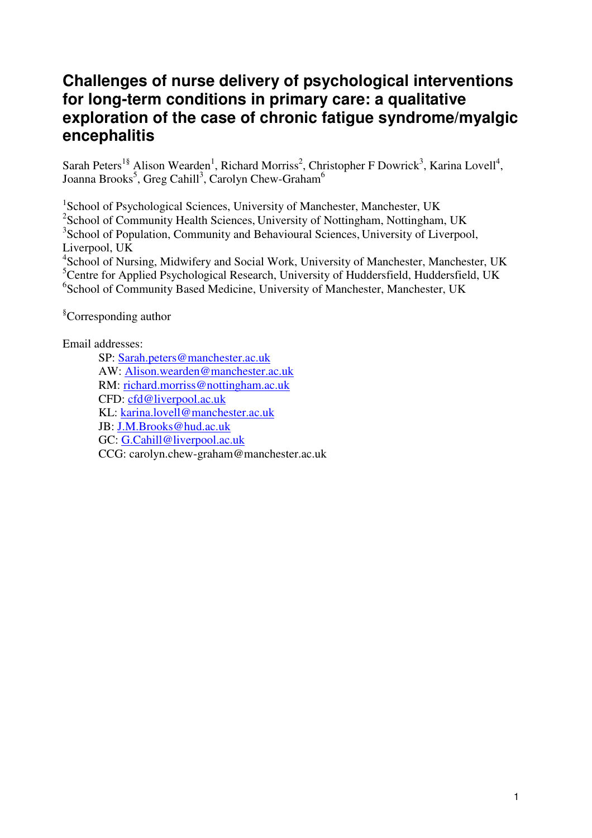# **Challenges of nurse delivery of psychological interventions for long-term conditions in primary care: a qualitative exploration of the case of chronic fatigue syndrome/myalgic encephalitis**

Sarah Peters<sup>1§</sup> Alison Wearden<sup>1</sup>, Richard Morriss<sup>2</sup>, Christopher F Dowrick<sup>3</sup>, Karina Lovell<sup>4</sup>, Joanna Brooks $^5$ , Greg Cahill $^3$ , Carolyn Chew-Graham $^6$ 

<sup>1</sup>School of Psychological Sciences, University of Manchester, Manchester, UK

<sup>2</sup>School of Community Health Sciences, University of Nottingham, Nottingham, UK

<sup>3</sup>School of Population, Community and Behavioural Sciences, University of Liverpool, Liverpool, UK

<sup>4</sup>School of Nursing, Midwifery and Social Work, University of Manchester, Manchester, UK <sup>5</sup>Centre for Applied Psychological Research, University of Huddersfield, Huddersfield, UK <sup>6</sup>School of Community Based Medicine, University of Manchester, Manchester, UK

§Corresponding author

Email addresses:

SP: Sarah.peters@manchester.ac.uk AW: Alison.wearden@manchester.ac.uk RM: richard.morriss@nottingham.ac.uk CFD: cfd@liverpool.ac.uk KL: karina.lovell@manchester.ac.uk JB: J.M.Brooks@hud.ac.uk GC: G.Cahill@liverpool.ac.uk CCG: carolyn.chew-graham@manchester.ac.uk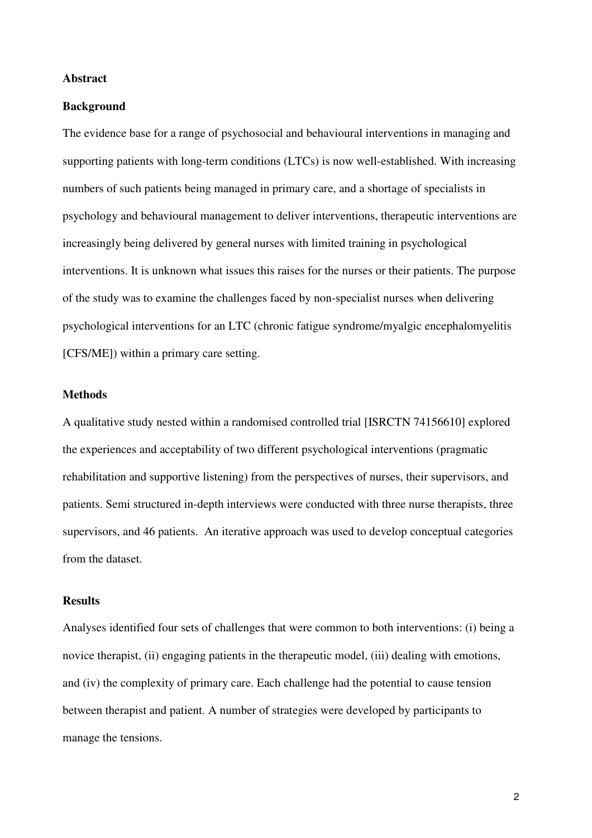#### **Abstract**

#### **Background**

The evidence base for a range of psychosocial and behavioural interventions in managing and supporting patients with long-term conditions (LTCs) is now well-established. With increasing numbers of such patients being managed in primary care, and a shortage of specialists in psychology and behavioural management to deliver interventions, therapeutic interventions are increasingly being delivered by general nurses with limited training in psychological interventions. It is unknown what issues this raises for the nurses or their patients. The purpose of the study was to examine the challenges faced by non-specialist nurses when delivering psychological interventions for an LTC (chronic fatigue syndrome/myalgic encephalomyelitis [CFS/ME]) within a primary care setting.

#### **Methods**

A qualitative study nested within a randomised controlled trial [ISRCTN 74156610] explored the experiences and acceptability of two different psychological interventions (pragmatic rehabilitation and supportive listening) from the perspectives of nurses, their supervisors, and patients. Semi structured in-depth interviews were conducted with three nurse therapists, three supervisors, and 46 patients. An iterative approach was used to develop conceptual categories from the dataset.

#### **Results**

Analyses identified four sets of challenges that were common to both interventions: (i) being a novice therapist, (ii) engaging patients in the therapeutic model, (iii) dealing with emotions, and (iv) the complexity of primary care. Each challenge had the potential to cause tension between therapist and patient. A number of strategies were developed by participants to manage the tensions.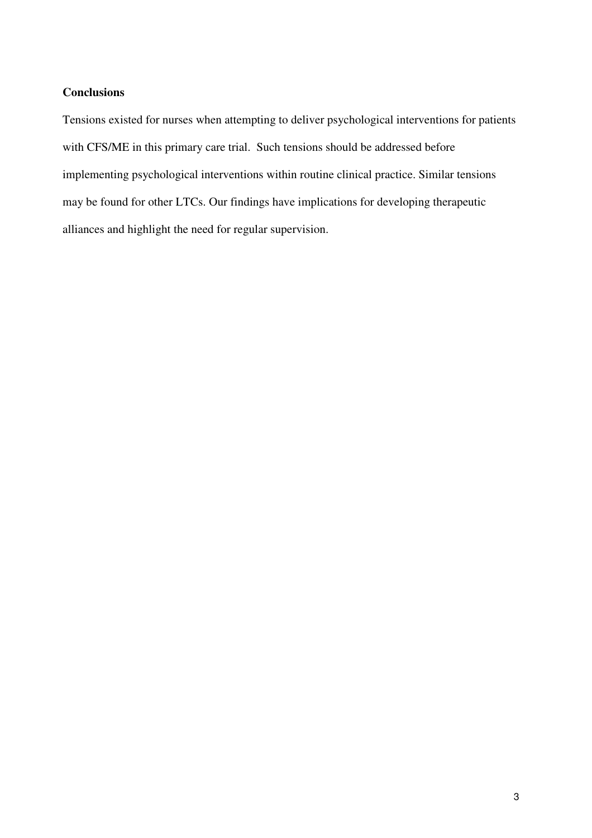## **Conclusions**

Tensions existed for nurses when attempting to deliver psychological interventions for patients with CFS/ME in this primary care trial. Such tensions should be addressed before implementing psychological interventions within routine clinical practice. Similar tensions may be found for other LTCs. Our findings have implications for developing therapeutic alliances and highlight the need for regular supervision.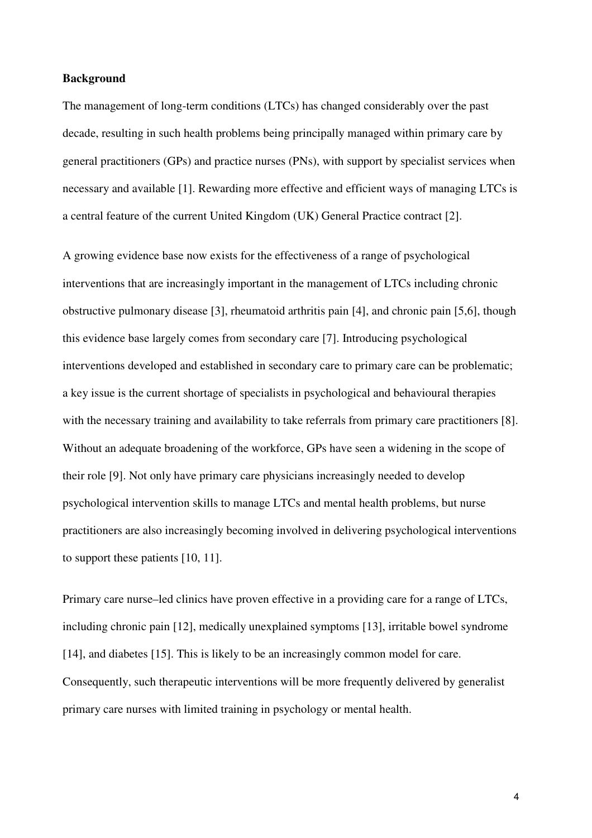#### **Background**

The management of long-term conditions (LTCs) has changed considerably over the past decade, resulting in such health problems being principally managed within primary care by general practitioners (GPs) and practice nurses (PNs), with support by specialist services when necessary and available [1]. Rewarding more effective and efficient ways of managing LTCs is a central feature of the current United Kingdom (UK) General Practice contract [2].

A growing evidence base now exists for the effectiveness of a range of psychological interventions that are increasingly important in the management of LTCs including chronic obstructive pulmonary disease [3], rheumatoid arthritis pain [4], and chronic pain [5,6], though this evidence base largely comes from secondary care [7]. Introducing psychological interventions developed and established in secondary care to primary care can be problematic; a key issue is the current shortage of specialists in psychological and behavioural therapies with the necessary training and availability to take referrals from primary care practitioners [8]. Without an adequate broadening of the workforce, GPs have seen a widening in the scope of their role [9]. Not only have primary care physicians increasingly needed to develop psychological intervention skills to manage LTCs and mental health problems, but nurse practitioners are also increasingly becoming involved in delivering psychological interventions to support these patients [10, 11].

Primary care nurse–led clinics have proven effective in a providing care for a range of LTCs, including chronic pain [12], medically unexplained symptoms [13], irritable bowel syndrome [14], and diabetes [15]. This is likely to be an increasingly common model for care. Consequently, such therapeutic interventions will be more frequently delivered by generalist primary care nurses with limited training in psychology or mental health.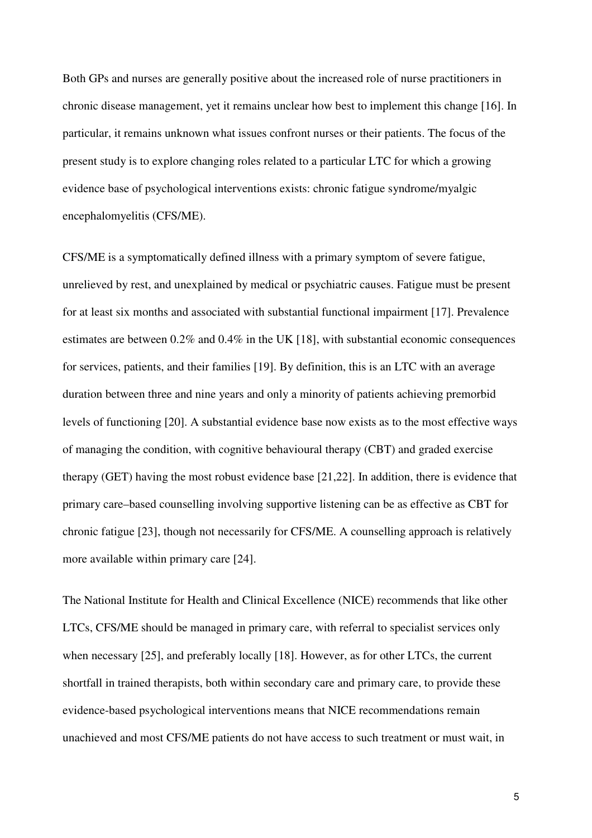Both GPs and nurses are generally positive about the increased role of nurse practitioners in chronic disease management, yet it remains unclear how best to implement this change [16]. In particular, it remains unknown what issues confront nurses or their patients. The focus of the present study is to explore changing roles related to a particular LTC for which a growing evidence base of psychological interventions exists: chronic fatigue syndrome/myalgic encephalomyelitis (CFS/ME).

CFS/ME is a symptomatically defined illness with a primary symptom of severe fatigue, unrelieved by rest, and unexplained by medical or psychiatric causes. Fatigue must be present for at least six months and associated with substantial functional impairment [17]. Prevalence estimates are between 0.2% and 0.4% in the UK [18], with substantial economic consequences for services, patients, and their families [19]. By definition, this is an LTC with an average duration between three and nine years and only a minority of patients achieving premorbid levels of functioning [20]. A substantial evidence base now exists as to the most effective ways of managing the condition, with cognitive behavioural therapy (CBT) and graded exercise therapy (GET) having the most robust evidence base [21,22]. In addition, there is evidence that primary care–based counselling involving supportive listening can be as effective as CBT for chronic fatigue [23], though not necessarily for CFS/ME. A counselling approach is relatively more available within primary care [24].

The National Institute for Health and Clinical Excellence (NICE) recommends that like other LTCs, CFS/ME should be managed in primary care, with referral to specialist services only when necessary [25], and preferably locally [18]. However, as for other LTCs, the current shortfall in trained therapists, both within secondary care and primary care, to provide these evidence-based psychological interventions means that NICE recommendations remain unachieved and most CFS/ME patients do not have access to such treatment or must wait, in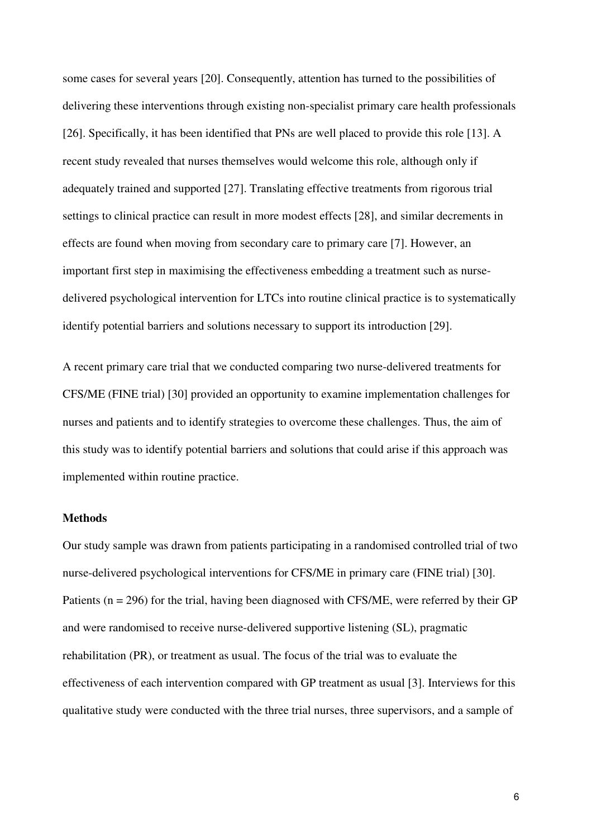some cases for several years [20]. Consequently, attention has turned to the possibilities of delivering these interventions through existing non-specialist primary care health professionals [26]. Specifically, it has been identified that PNs are well placed to provide this role [13]. A recent study revealed that nurses themselves would welcome this role, although only if adequately trained and supported [27]. Translating effective treatments from rigorous trial settings to clinical practice can result in more modest effects [28], and similar decrements in effects are found when moving from secondary care to primary care [7]. However, an important first step in maximising the effectiveness embedding a treatment such as nursedelivered psychological intervention for LTCs into routine clinical practice is to systematically identify potential barriers and solutions necessary to support its introduction [29].

A recent primary care trial that we conducted comparing two nurse-delivered treatments for CFS/ME (FINE trial) [30] provided an opportunity to examine implementation challenges for nurses and patients and to identify strategies to overcome these challenges. Thus, the aim of this study was to identify potential barriers and solutions that could arise if this approach was implemented within routine practice.

### **Methods**

Our study sample was drawn from patients participating in a randomised controlled trial of two nurse-delivered psychological interventions for CFS/ME in primary care (FINE trial) [30]. Patients (n = 296) for the trial, having been diagnosed with CFS/ME, were referred by their GP and were randomised to receive nurse-delivered supportive listening (SL), pragmatic rehabilitation (PR), or treatment as usual. The focus of the trial was to evaluate the effectiveness of each intervention compared with GP treatment as usual [3]. Interviews for this qualitative study were conducted with the three trial nurses, three supervisors, and a sample of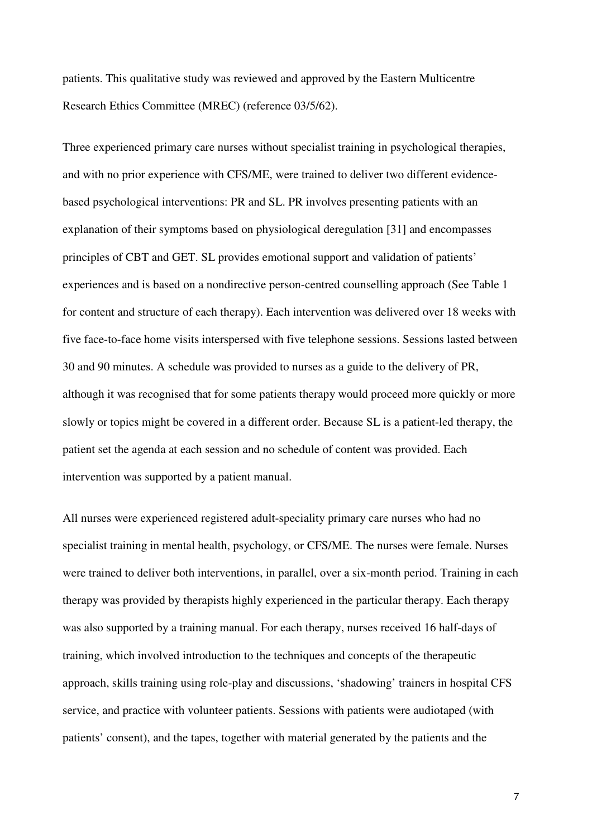patients. This qualitative study was reviewed and approved by the Eastern Multicentre Research Ethics Committee (MREC) (reference 03/5/62).

Three experienced primary care nurses without specialist training in psychological therapies, and with no prior experience with CFS/ME, were trained to deliver two different evidencebased psychological interventions: PR and SL. PR involves presenting patients with an explanation of their symptoms based on physiological deregulation [31] and encompasses principles of CBT and GET. SL provides emotional support and validation of patients' experiences and is based on a nondirective person-centred counselling approach (See Table 1 for content and structure of each therapy). Each intervention was delivered over 18 weeks with five face-to-face home visits interspersed with five telephone sessions. Sessions lasted between 30 and 90 minutes. A schedule was provided to nurses as a guide to the delivery of PR, although it was recognised that for some patients therapy would proceed more quickly or more slowly or topics might be covered in a different order. Because SL is a patient-led therapy, the patient set the agenda at each session and no schedule of content was provided. Each intervention was supported by a patient manual.

All nurses were experienced registered adult-speciality primary care nurses who had no specialist training in mental health, psychology, or CFS/ME. The nurses were female. Nurses were trained to deliver both interventions, in parallel, over a six-month period. Training in each therapy was provided by therapists highly experienced in the particular therapy. Each therapy was also supported by a training manual. For each therapy, nurses received 16 half-days of training, which involved introduction to the techniques and concepts of the therapeutic approach, skills training using role-play and discussions, 'shadowing' trainers in hospital CFS service, and practice with volunteer patients. Sessions with patients were audiotaped (with patients' consent), and the tapes, together with material generated by the patients and the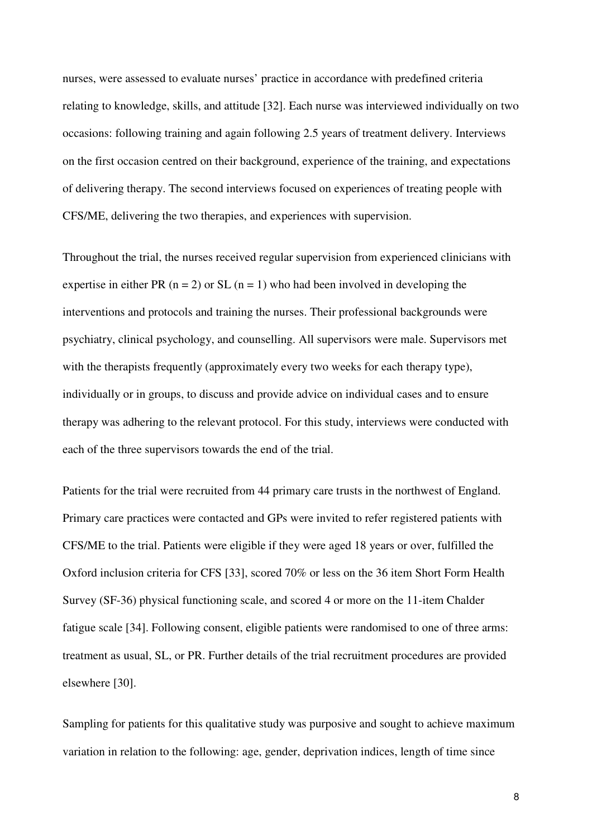nurses, were assessed to evaluate nurses' practice in accordance with predefined criteria relating to knowledge, skills, and attitude [32]. Each nurse was interviewed individually on two occasions: following training and again following 2.5 years of treatment delivery. Interviews on the first occasion centred on their background, experience of the training, and expectations of delivering therapy. The second interviews focused on experiences of treating people with CFS/ME, delivering the two therapies, and experiences with supervision.

Throughout the trial, the nurses received regular supervision from experienced clinicians with expertise in either PR ( $n = 2$ ) or SL ( $n = 1$ ) who had been involved in developing the interventions and protocols and training the nurses. Their professional backgrounds were psychiatry, clinical psychology, and counselling. All supervisors were male. Supervisors met with the therapists frequently (approximately every two weeks for each therapy type), individually or in groups, to discuss and provide advice on individual cases and to ensure therapy was adhering to the relevant protocol. For this study, interviews were conducted with each of the three supervisors towards the end of the trial.

Patients for the trial were recruited from 44 primary care trusts in the northwest of England. Primary care practices were contacted and GPs were invited to refer registered patients with CFS/ME to the trial. Patients were eligible if they were aged 18 years or over, fulfilled the Oxford inclusion criteria for CFS [33], scored 70% or less on the 36 item Short Form Health Survey (SF-36) physical functioning scale, and scored 4 or more on the 11-item Chalder fatigue scale [34]. Following consent, eligible patients were randomised to one of three arms: treatment as usual, SL, or PR. Further details of the trial recruitment procedures are provided elsewhere [30].

Sampling for patients for this qualitative study was purposive and sought to achieve maximum variation in relation to the following: age, gender, deprivation indices, length of time since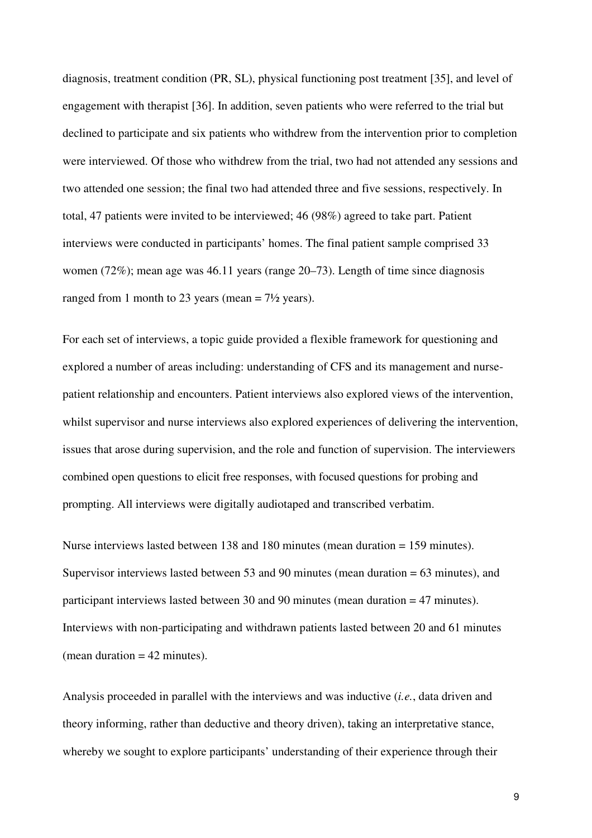diagnosis, treatment condition (PR, SL), physical functioning post treatment [35], and level of engagement with therapist [36]. In addition, seven patients who were referred to the trial but declined to participate and six patients who withdrew from the intervention prior to completion were interviewed. Of those who withdrew from the trial, two had not attended any sessions and two attended one session; the final two had attended three and five sessions, respectively. In total, 47 patients were invited to be interviewed; 46 (98%) agreed to take part. Patient interviews were conducted in participants' homes. The final patient sample comprised 33 women (72%); mean age was 46.11 years (range 20–73). Length of time since diagnosis ranged from 1 month to 23 years (mean  $= 7\frac{1}{2}$  years).

For each set of interviews, a topic guide provided a flexible framework for questioning and explored a number of areas including: understanding of CFS and its management and nursepatient relationship and encounters. Patient interviews also explored views of the intervention, whilst supervisor and nurse interviews also explored experiences of delivering the intervention, issues that arose during supervision, and the role and function of supervision. The interviewers combined open questions to elicit free responses, with focused questions for probing and prompting. All interviews were digitally audiotaped and transcribed verbatim.

Nurse interviews lasted between 138 and 180 minutes (mean duration = 159 minutes). Supervisor interviews lasted between 53 and 90 minutes (mean duration = 63 minutes), and participant interviews lasted between 30 and 90 minutes (mean duration = 47 minutes). Interviews with non-participating and withdrawn patients lasted between 20 and 61 minutes (mean duration  $= 42$  minutes).

Analysis proceeded in parallel with the interviews and was inductive (*i.e.*, data driven and theory informing, rather than deductive and theory driven), taking an interpretative stance, whereby we sought to explore participants' understanding of their experience through their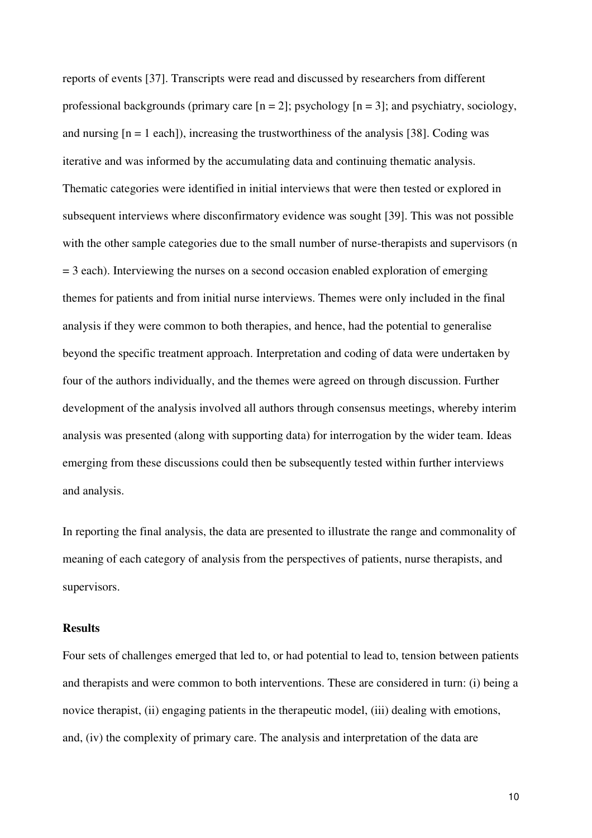reports of events [37]. Transcripts were read and discussed by researchers from different professional backgrounds (primary care  $[n = 2]$ ; psychology  $[n = 3]$ ; and psychiatry, sociology, and nursing  $[n = 1$  each]), increasing the trustworthiness of the analysis [38]. Coding was iterative and was informed by the accumulating data and continuing thematic analysis. Thematic categories were identified in initial interviews that were then tested or explored in subsequent interviews where disconfirmatory evidence was sought [39]. This was not possible with the other sample categories due to the small number of nurse-therapists and supervisors (n  $= 3$  each). Interviewing the nurses on a second occasion enabled exploration of emerging themes for patients and from initial nurse interviews. Themes were only included in the final analysis if they were common to both therapies, and hence, had the potential to generalise beyond the specific treatment approach. Interpretation and coding of data were undertaken by four of the authors individually, and the themes were agreed on through discussion. Further development of the analysis involved all authors through consensus meetings, whereby interim analysis was presented (along with supporting data) for interrogation by the wider team. Ideas emerging from these discussions could then be subsequently tested within further interviews and analysis.

In reporting the final analysis, the data are presented to illustrate the range and commonality of meaning of each category of analysis from the perspectives of patients, nurse therapists, and supervisors.

#### **Results**

Four sets of challenges emerged that led to, or had potential to lead to, tension between patients and therapists and were common to both interventions. These are considered in turn: (i) being a novice therapist, (ii) engaging patients in the therapeutic model, (iii) dealing with emotions, and, (iv) the complexity of primary care. The analysis and interpretation of the data are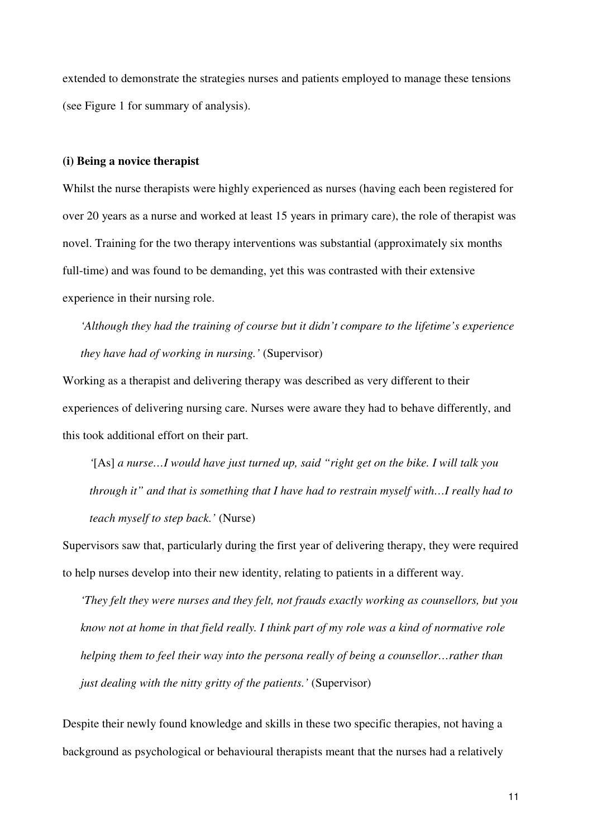extended to demonstrate the strategies nurses and patients employed to manage these tensions (see Figure 1 for summary of analysis).

#### **(i) Being a novice therapist**

Whilst the nurse therapists were highly experienced as nurses (having each been registered for over 20 years as a nurse and worked at least 15 years in primary care), the role of therapist was novel. Training for the two therapy interventions was substantial (approximately six months full-time) and was found to be demanding, yet this was contrasted with their extensive experience in their nursing role.

*'Although they had the training of course but it didn't compare to the lifetime's experience they have had of working in nursing.'* (Supervisor)

Working as a therapist and delivering therapy was described as very different to their experiences of delivering nursing care. Nurses were aware they had to behave differently, and this took additional effort on their part.

*'*[As] *a nurse…I would have just turned up, said "right get on the bike. I will talk you through it" and that is something that I have had to restrain myself with…I really had to teach myself to step back.'* (Nurse)

Supervisors saw that, particularly during the first year of delivering therapy, they were required to help nurses develop into their new identity, relating to patients in a different way.

*'They felt they were nurses and they felt, not frauds exactly working as counsellors, but you know not at home in that field really. I think part of my role was a kind of normative role helping them to feel their way into the persona really of being a counsellor…rather than just dealing with the nitty gritty of the patients.'* (Supervisor)

Despite their newly found knowledge and skills in these two specific therapies, not having a background as psychological or behavioural therapists meant that the nurses had a relatively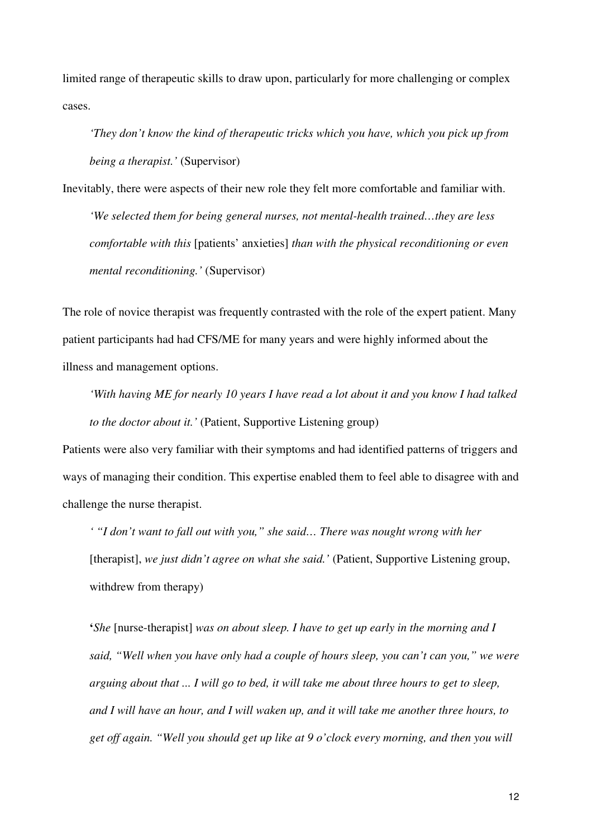limited range of therapeutic skills to draw upon, particularly for more challenging or complex cases.

*'They don't know the kind of therapeutic tricks which you have, which you pick up from being a therapist.'* (Supervisor)

Inevitably, there were aspects of their new role they felt more comfortable and familiar with.

*'We selected them for being general nurses, not mental-health trained…they are less comfortable with this* [patients' anxieties] *than with the physical reconditioning or even mental reconditioning.'* (Supervisor)

The role of novice therapist was frequently contrasted with the role of the expert patient. Many patient participants had had CFS/ME for many years and were highly informed about the illness and management options.

*'With having ME for nearly 10 years I have read a lot about it and you know I had talked to the doctor about it.'* (Patient, Supportive Listening group)

Patients were also very familiar with their symptoms and had identified patterns of triggers and ways of managing their condition. This expertise enabled them to feel able to disagree with and challenge the nurse therapist.

*' "I don't want to fall out with you," she said… There was nought wrong with her*  [therapist], *we just didn't agree on what she said.'* (Patient, Supportive Listening group, withdrew from therapy)

**'***She* [nurse-therapist] *was on about sleep. I have to get up early in the morning and I said, "Well when you have only had a couple of hours sleep, you can't can you," we were arguing about that ... I will go to bed, it will take me about three hours to get to sleep, and I will have an hour, and I will waken up, and it will take me another three hours, to get off again. "Well you should get up like at 9 o'clock every morning, and then you will*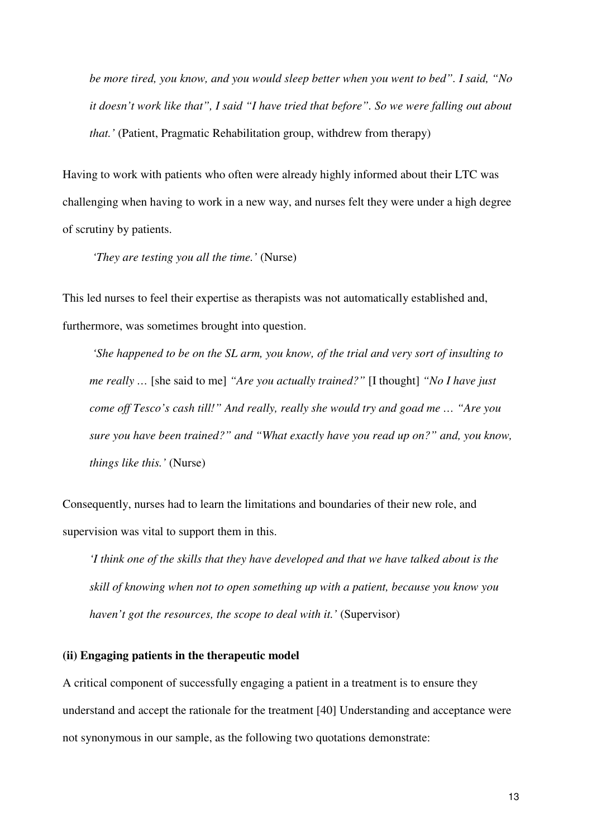*be more tired, you know, and you would sleep better when you went to bed". I said, "No it doesn't work like that", I said "I have tried that before". So we were falling out about that.'* (Patient, Pragmatic Rehabilitation group, withdrew from therapy)

Having to work with patients who often were already highly informed about their LTC was challenging when having to work in a new way, and nurses felt they were under a high degree of scrutiny by patients.

 *'They are testing you all the time.'* (Nurse)

This led nurses to feel their expertise as therapists was not automatically established and, furthermore, was sometimes brought into question.

 *'She happened to be on the SL arm, you know, of the trial and very sort of insulting to me really …* [she said to me] *"Are you actually trained?"* [I thought] *"No I have just come off Tesco's cash till!" And really, really she would try and goad me … "Are you sure you have been trained?" and "What exactly have you read up on?" and, you know, things like this.'* (Nurse)

Consequently, nurses had to learn the limitations and boundaries of their new role, and supervision was vital to support them in this.

*'I think one of the skills that they have developed and that we have talked about is the skill of knowing when not to open something up with a patient, because you know you haven't got the resources, the scope to deal with it.'* (Supervisor)

### **(ii) Engaging patients in the therapeutic model**

A critical component of successfully engaging a patient in a treatment is to ensure they understand and accept the rationale for the treatment [40] Understanding and acceptance were not synonymous in our sample, as the following two quotations demonstrate: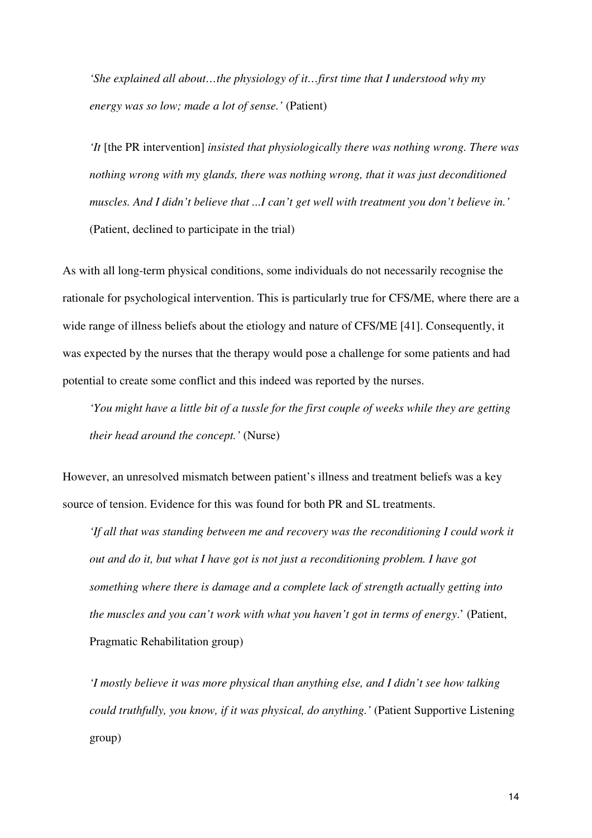*'She explained all about…the physiology of it…first time that I understood why my energy was so low; made a lot of sense.'* (Patient)

*'It* [the PR intervention] *insisted that physiologically there was nothing wrong. There was nothing wrong with my glands, there was nothing wrong, that it was just deconditioned muscles. And I didn't believe that ...I can't get well with treatment you don't believe in.'* (Patient, declined to participate in the trial)

As with all long-term physical conditions, some individuals do not necessarily recognise the rationale for psychological intervention. This is particularly true for CFS/ME, where there are a wide range of illness beliefs about the etiology and nature of CFS/ME [41]. Consequently, it was expected by the nurses that the therapy would pose a challenge for some patients and had potential to create some conflict and this indeed was reported by the nurses.

*'You might have a little bit of a tussle for the first couple of weeks while they are getting their head around the concept.'* (Nurse)

However, an unresolved mismatch between patient's illness and treatment beliefs was a key source of tension. Evidence for this was found for both PR and SL treatments.

*'If all that was standing between me and recovery was the reconditioning I could work it out and do it, but what I have got is not just a reconditioning problem. I have got something where there is damage and a complete lack of strength actually getting into the muscles and you can't work with what you haven't got in terms of energy*.' (Patient, Pragmatic Rehabilitation group)

*'I mostly believe it was more physical than anything else, and I didn't see how talking could truthfully, you know, if it was physical, do anything.'* (Patient Supportive Listening group)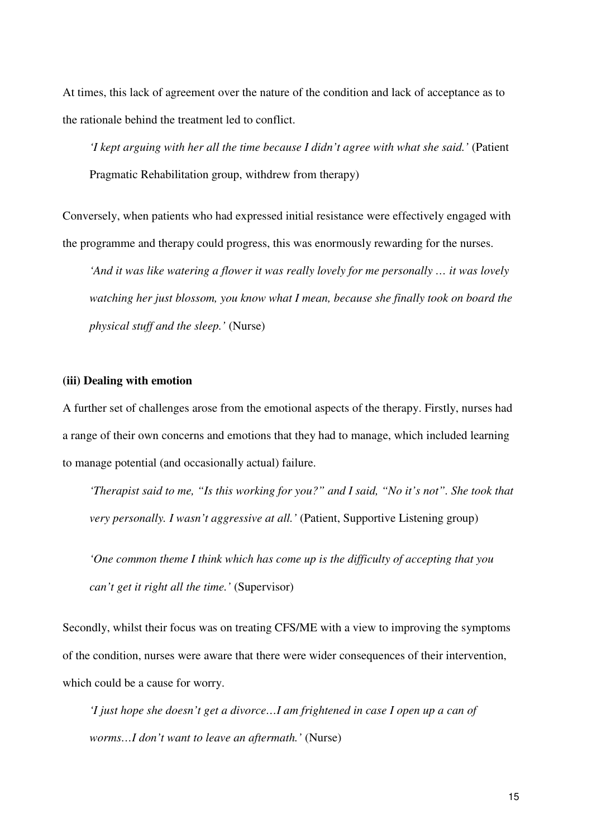At times, this lack of agreement over the nature of the condition and lack of acceptance as to the rationale behind the treatment led to conflict.

*'I kept arguing with her all the time because I didn't agree with what she said.'* (Patient Pragmatic Rehabilitation group, withdrew from therapy)

Conversely, when patients who had expressed initial resistance were effectively engaged with the programme and therapy could progress, this was enormously rewarding for the nurses.

*'And it was like watering a flower it was really lovely for me personally … it was lovely watching her just blossom, you know what I mean, because she finally took on board the physical stuff and the sleep.'* (Nurse)

#### **(iii) Dealing with emotion**

A further set of challenges arose from the emotional aspects of the therapy. Firstly, nurses had a range of their own concerns and emotions that they had to manage, which included learning to manage potential (and occasionally actual) failure.

*'Therapist said to me, "Is this working for you?" and I said, "No it's not". She took that very personally. I wasn't aggressive at all.'* (Patient, Supportive Listening group)

*'One common theme I think which has come up is the difficulty of accepting that you can't get it right all the time.'* (Supervisor)

Secondly, whilst their focus was on treating CFS/ME with a view to improving the symptoms of the condition, nurses were aware that there were wider consequences of their intervention, which could be a cause for worry.

*'I just hope she doesn't get a divorce…I am frightened in case I open up a can of worms…I don't want to leave an aftermath.'* (Nurse)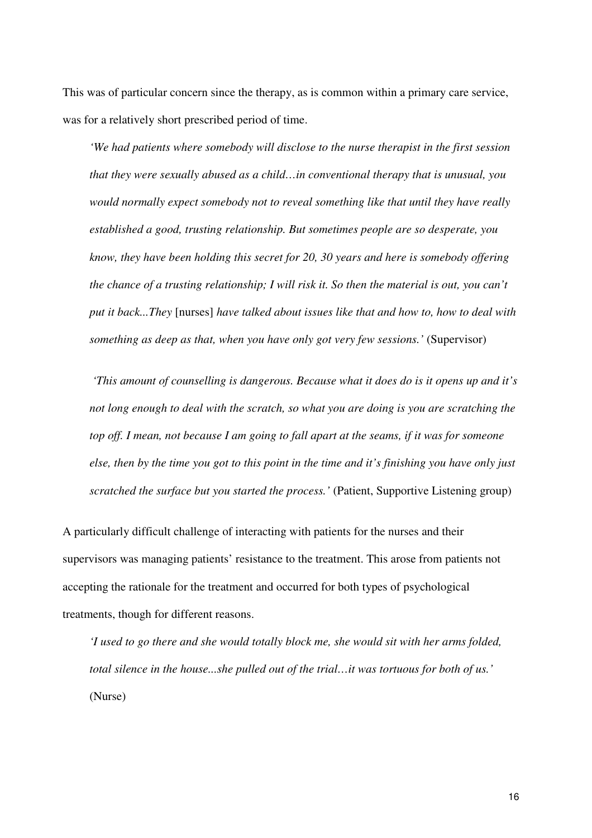This was of particular concern since the therapy, as is common within a primary care service, was for a relatively short prescribed period of time.

*'We had patients where somebody will disclose to the nurse therapist in the first session that they were sexually abused as a child…in conventional therapy that is unusual, you would normally expect somebody not to reveal something like that until they have really established a good, trusting relationship. But sometimes people are so desperate, you know, they have been holding this secret for 20, 30 years and here is somebody offering the chance of a trusting relationship; I will risk it. So then the material is out, you can't put it back...They* [nurses] *have talked about issues like that and how to, how to deal with something as deep as that, when you have only got very few sessions.'* (Supervisor)

 *'This amount of counselling is dangerous. Because what it does do is it opens up and it's not long enough to deal with the scratch, so what you are doing is you are scratching the top off. I mean, not because I am going to fall apart at the seams, if it was for someone else, then by the time you got to this point in the time and it's finishing you have only just scratched the surface but you started the process.'* (Patient, Supportive Listening group)

A particularly difficult challenge of interacting with patients for the nurses and their supervisors was managing patients' resistance to the treatment. This arose from patients not accepting the rationale for the treatment and occurred for both types of psychological treatments, though for different reasons.

*'I used to go there and she would totally block me, she would sit with her arms folded, total silence in the house...she pulled out of the trial…it was tortuous for both of us.'*  (Nurse)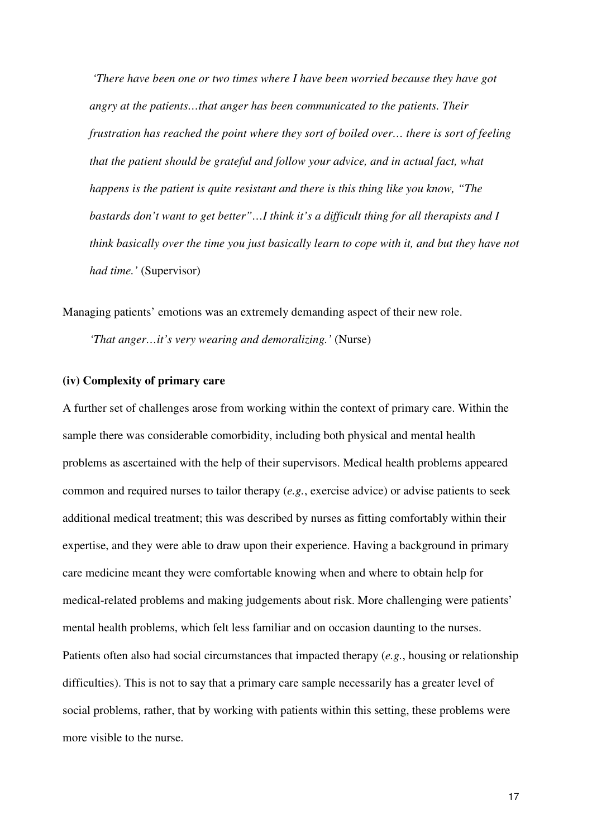*'There have been one or two times where I have been worried because they have got angry at the patients…that anger has been communicated to the patients. Their frustration has reached the point where they sort of boiled over… there is sort of feeling that the patient should be grateful and follow your advice, and in actual fact, what happens is the patient is quite resistant and there is this thing like you know, "The bastards don't want to get better"…I think it's a difficult thing for all therapists and I think basically over the time you just basically learn to cope with it, and but they have not had time.'* (Supervisor)

Managing patients' emotions was an extremely demanding aspect of their new role. *'That anger…it's very wearing and demoralizing.'* (Nurse)

## **(iv) Complexity of primary care**

A further set of challenges arose from working within the context of primary care. Within the sample there was considerable comorbidity, including both physical and mental health problems as ascertained with the help of their supervisors. Medical health problems appeared common and required nurses to tailor therapy (*e.g.*, exercise advice) or advise patients to seek additional medical treatment; this was described by nurses as fitting comfortably within their expertise, and they were able to draw upon their experience. Having a background in primary care medicine meant they were comfortable knowing when and where to obtain help for medical-related problems and making judgements about risk. More challenging were patients' mental health problems, which felt less familiar and on occasion daunting to the nurses. Patients often also had social circumstances that impacted therapy (*e.g.*, housing or relationship difficulties). This is not to say that a primary care sample necessarily has a greater level of social problems, rather, that by working with patients within this setting, these problems were more visible to the nurse.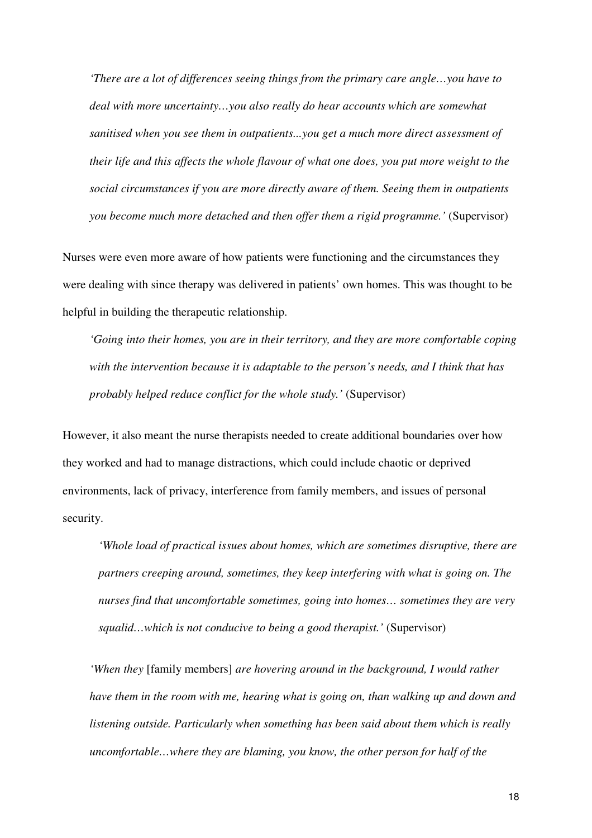*'There are a lot of differences seeing things from the primary care angle…you have to deal with more uncertainty…you also really do hear accounts which are somewhat sanitised when you see them in outpatients...you get a much more direct assessment of their life and this affects the whole flavour of what one does, you put more weight to the social circumstances if you are more directly aware of them. Seeing them in outpatients you become much more detached and then offer them a rigid programme.'* (Supervisor)

Nurses were even more aware of how patients were functioning and the circumstances they were dealing with since therapy was delivered in patients' own homes. This was thought to be helpful in building the therapeutic relationship.

*'Going into their homes, you are in their territory, and they are more comfortable coping with the intervention because it is adaptable to the person's needs, and I think that has probably helped reduce conflict for the whole study.'* (Supervisor)

However, it also meant the nurse therapists needed to create additional boundaries over how they worked and had to manage distractions, which could include chaotic or deprived environments, lack of privacy, interference from family members, and issues of personal security.

*'Whole load of practical issues about homes, which are sometimes disruptive, there are partners creeping around, sometimes, they keep interfering with what is going on. The nurses find that uncomfortable sometimes, going into homes… sometimes they are very squalid…which is not conducive to being a good therapist.'* (Supervisor)

*'When they* [family members] *are hovering around in the background, I would rather have them in the room with me, hearing what is going on, than walking up and down and listening outside. Particularly when something has been said about them which is really uncomfortable…where they are blaming, you know, the other person for half of the*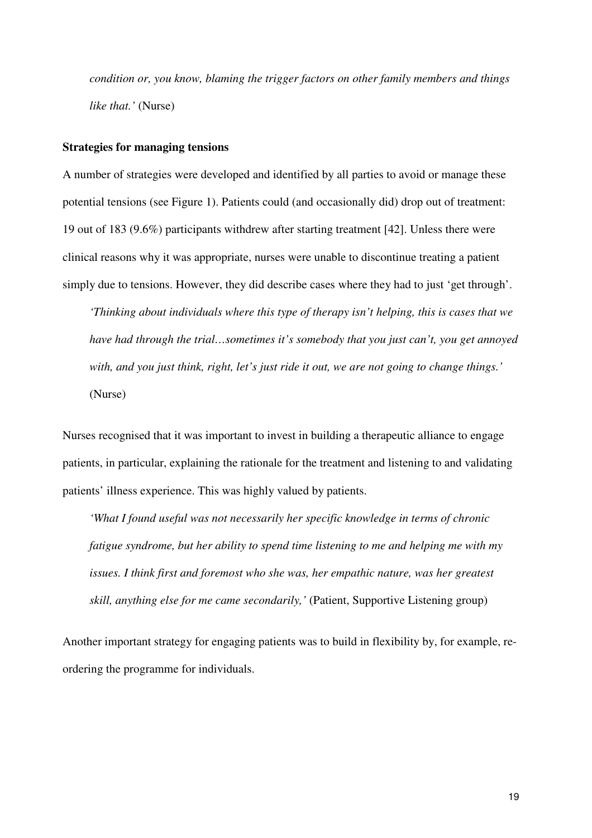*condition or, you know, blaming the trigger factors on other family members and things like that.'* (Nurse)

### **Strategies for managing tensions**

A number of strategies were developed and identified by all parties to avoid or manage these potential tensions (see Figure 1). Patients could (and occasionally did) drop out of treatment: 19 out of 183 (9.6%) participants withdrew after starting treatment [42]. Unless there were clinical reasons why it was appropriate, nurses were unable to discontinue treating a patient simply due to tensions. However, they did describe cases where they had to just 'get through'.

*'Thinking about individuals where this type of therapy isn't helping, this is cases that we have had through the trial…sometimes it's somebody that you just can't, you get annoyed with, and you just think, right, let's just ride it out, we are not going to change things.'*  (Nurse)

Nurses recognised that it was important to invest in building a therapeutic alliance to engage patients, in particular, explaining the rationale for the treatment and listening to and validating patients' illness experience. This was highly valued by patients.

*'What I found useful was not necessarily her specific knowledge in terms of chronic fatigue syndrome, but her ability to spend time listening to me and helping me with my issues. I think first and foremost who she was, her empathic nature, was her greatest skill, anything else for me came secondarily,'* (Patient, Supportive Listening group)

Another important strategy for engaging patients was to build in flexibility by, for example, reordering the programme for individuals.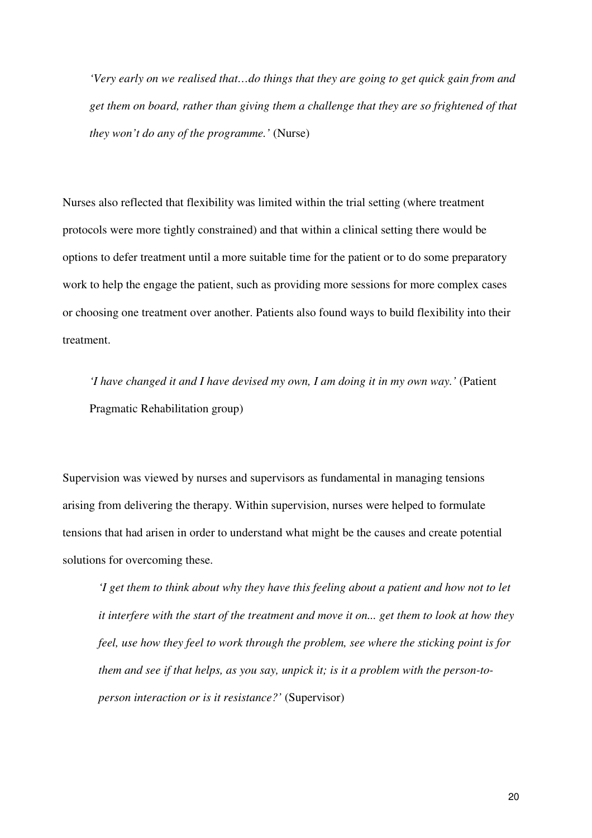*'Very early on we realised that…do things that they are going to get quick gain from and get them on board, rather than giving them a challenge that they are so frightened of that they won't do any of the programme.'* (Nurse)

Nurses also reflected that flexibility was limited within the trial setting (where treatment protocols were more tightly constrained) and that within a clinical setting there would be options to defer treatment until a more suitable time for the patient or to do some preparatory work to help the engage the patient, such as providing more sessions for more complex cases or choosing one treatment over another. Patients also found ways to build flexibility into their treatment.

*'I have changed it and I have devised my own, I am doing it in my own way.'* (Patient Pragmatic Rehabilitation group)

Supervision was viewed by nurses and supervisors as fundamental in managing tensions arising from delivering the therapy. Within supervision, nurses were helped to formulate tensions that had arisen in order to understand what might be the causes and create potential solutions for overcoming these.

*'I get them to think about why they have this feeling about a patient and how not to let it interfere with the start of the treatment and move it on... get them to look at how they feel, use how they feel to work through the problem, see where the sticking point is for them and see if that helps, as you say, unpick it; is it a problem with the person-toperson interaction or is it resistance?'* (Supervisor)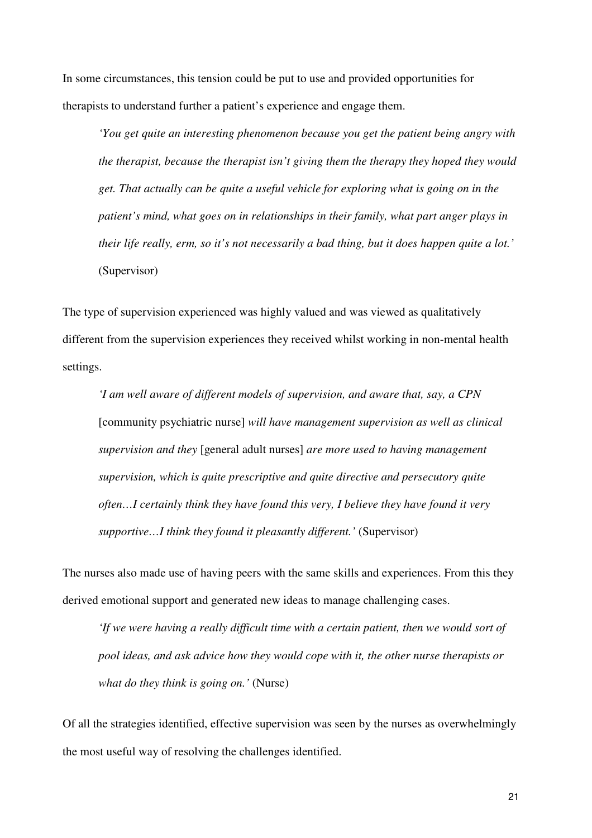In some circumstances, this tension could be put to use and provided opportunities for therapists to understand further a patient's experience and engage them.

*'You get quite an interesting phenomenon because you get the patient being angry with the therapist, because the therapist isn't giving them the therapy they hoped they would get. That actually can be quite a useful vehicle for exploring what is going on in the patient's mind, what goes on in relationships in their family, what part anger plays in their life really, erm, so it's not necessarily a bad thing, but it does happen quite a lot.'*  (Supervisor)

The type of supervision experienced was highly valued and was viewed as qualitatively different from the supervision experiences they received whilst working in non-mental health settings.

*'I am well aware of different models of supervision, and aware that, say, a CPN*  [community psychiatric nurse] *will have management supervision as well as clinical supervision and they* [general adult nurses] *are more used to having management supervision, which is quite prescriptive and quite directive and persecutory quite often…I certainly think they have found this very, I believe they have found it very supportive…I think they found it pleasantly different.'* (Supervisor)

The nurses also made use of having peers with the same skills and experiences. From this they derived emotional support and generated new ideas to manage challenging cases.

*'If we were having a really difficult time with a certain patient, then we would sort of pool ideas, and ask advice how they would cope with it, the other nurse therapists or what do they think is going on.'* (Nurse)

Of all the strategies identified, effective supervision was seen by the nurses as overwhelmingly the most useful way of resolving the challenges identified.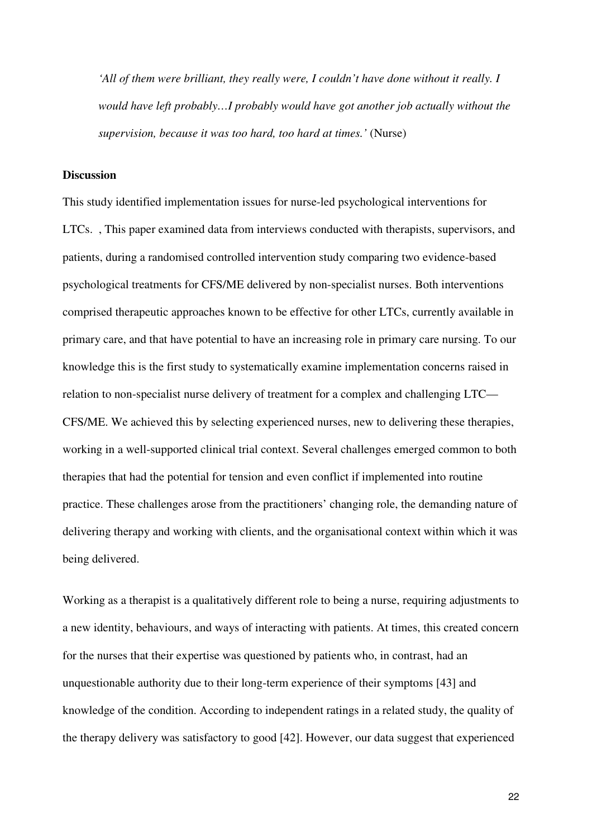*'All of them were brilliant, they really were, I couldn't have done without it really. I would have left probably…I probably would have got another job actually without the supervision, because it was too hard, too hard at times.'* (Nurse)

### **Discussion**

This study identified implementation issues for nurse-led psychological interventions for LTCs. , This paper examined data from interviews conducted with therapists, supervisors, and patients, during a randomised controlled intervention study comparing two evidence-based psychological treatments for CFS/ME delivered by non-specialist nurses. Both interventions comprised therapeutic approaches known to be effective for other LTCs, currently available in primary care, and that have potential to have an increasing role in primary care nursing. To our knowledge this is the first study to systematically examine implementation concerns raised in relation to non-specialist nurse delivery of treatment for a complex and challenging LTC— CFS/ME. We achieved this by selecting experienced nurses, new to delivering these therapies, working in a well-supported clinical trial context. Several challenges emerged common to both therapies that had the potential for tension and even conflict if implemented into routine practice. These challenges arose from the practitioners' changing role, the demanding nature of delivering therapy and working with clients, and the organisational context within which it was being delivered.

Working as a therapist is a qualitatively different role to being a nurse, requiring adjustments to a new identity, behaviours, and ways of interacting with patients. At times, this created concern for the nurses that their expertise was questioned by patients who, in contrast, had an unquestionable authority due to their long-term experience of their symptoms [43] and knowledge of the condition. According to independent ratings in a related study, the quality of the therapy delivery was satisfactory to good [42]. However, our data suggest that experienced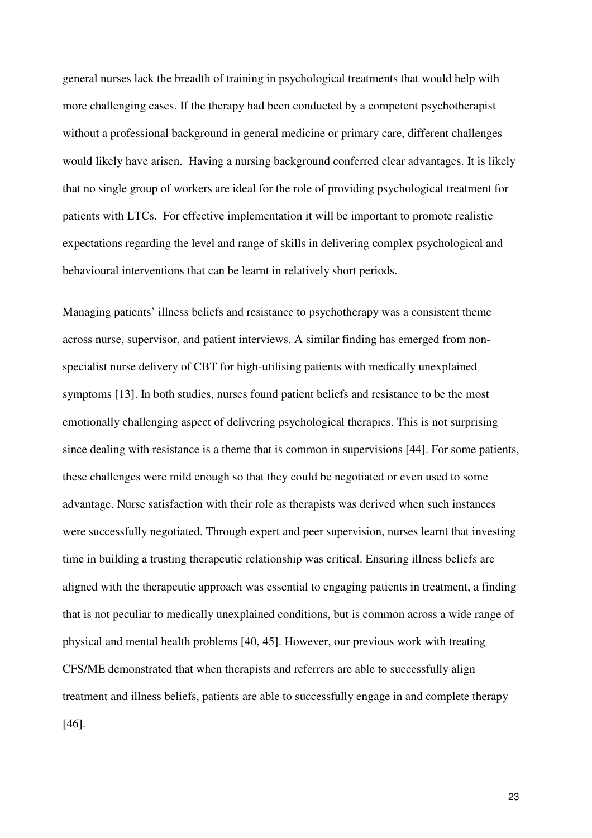general nurses lack the breadth of training in psychological treatments that would help with more challenging cases. If the therapy had been conducted by a competent psychotherapist without a professional background in general medicine or primary care, different challenges would likely have arisen. Having a nursing background conferred clear advantages. It is likely that no single group of workers are ideal for the role of providing psychological treatment for patients with LTCs. For effective implementation it will be important to promote realistic expectations regarding the level and range of skills in delivering complex psychological and behavioural interventions that can be learnt in relatively short periods.

Managing patients' illness beliefs and resistance to psychotherapy was a consistent theme across nurse, supervisor, and patient interviews. A similar finding has emerged from nonspecialist nurse delivery of CBT for high-utilising patients with medically unexplained symptoms [13]. In both studies, nurses found patient beliefs and resistance to be the most emotionally challenging aspect of delivering psychological therapies. This is not surprising since dealing with resistance is a theme that is common in supervisions [44]. For some patients, these challenges were mild enough so that they could be negotiated or even used to some advantage. Nurse satisfaction with their role as therapists was derived when such instances were successfully negotiated. Through expert and peer supervision, nurses learnt that investing time in building a trusting therapeutic relationship was critical. Ensuring illness beliefs are aligned with the therapeutic approach was essential to engaging patients in treatment, a finding that is not peculiar to medically unexplained conditions, but is common across a wide range of physical and mental health problems [40, 45]. However, our previous work with treating CFS/ME demonstrated that when therapists and referrers are able to successfully align treatment and illness beliefs, patients are able to successfully engage in and complete therapy [46].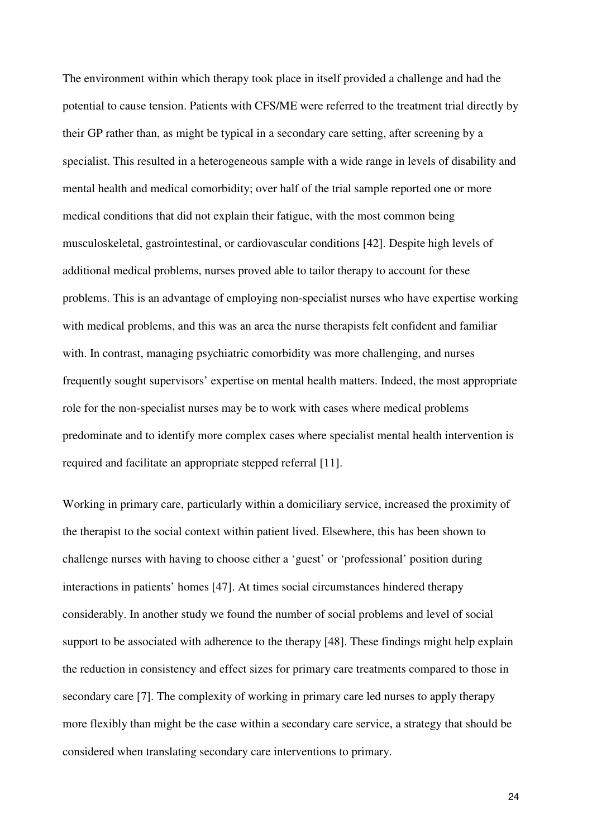The environment within which therapy took place in itself provided a challenge and had the potential to cause tension. Patients with CFS/ME were referred to the treatment trial directly by their GP rather than, as might be typical in a secondary care setting, after screening by a specialist. This resulted in a heterogeneous sample with a wide range in levels of disability and mental health and medical comorbidity; over half of the trial sample reported one or more medical conditions that did not explain their fatigue, with the most common being musculoskeletal, gastrointestinal, or cardiovascular conditions [42]. Despite high levels of additional medical problems, nurses proved able to tailor therapy to account for these problems. This is an advantage of employing non-specialist nurses who have expertise working with medical problems, and this was an area the nurse therapists felt confident and familiar with. In contrast, managing psychiatric comorbidity was more challenging, and nurses frequently sought supervisors' expertise on mental health matters. Indeed, the most appropriate role for the non-specialist nurses may be to work with cases where medical problems predominate and to identify more complex cases where specialist mental health intervention is required and facilitate an appropriate stepped referral [11].

Working in primary care, particularly within a domiciliary service, increased the proximity of the therapist to the social context within patient lived. Elsewhere, this has been shown to challenge nurses with having to choose either a 'guest' or 'professional' position during interactions in patients' homes [47]. At times social circumstances hindered therapy considerably. In another study we found the number of social problems and level of social support to be associated with adherence to the therapy [48]. These findings might help explain the reduction in consistency and effect sizes for primary care treatments compared to those in secondary care [7]. The complexity of working in primary care led nurses to apply therapy more flexibly than might be the case within a secondary care service, a strategy that should be considered when translating secondary care interventions to primary.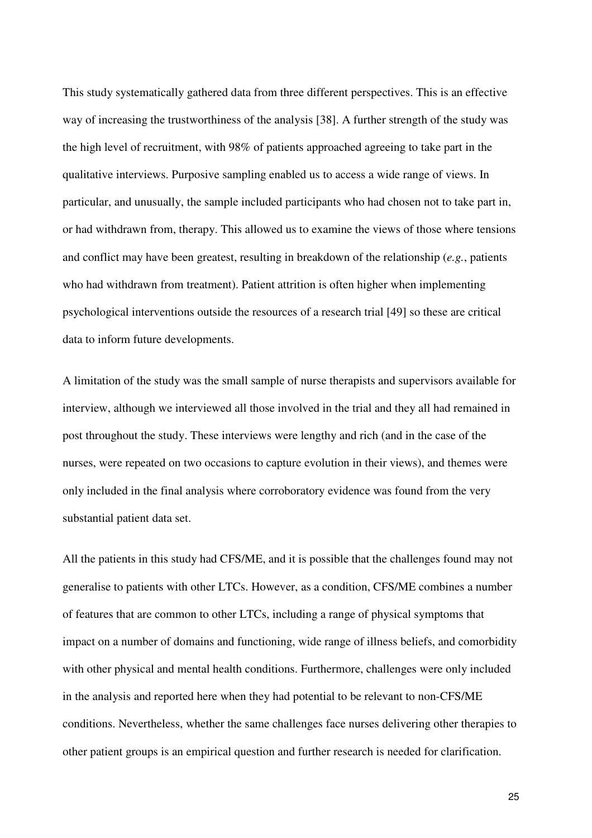This study systematically gathered data from three different perspectives. This is an effective way of increasing the trustworthiness of the analysis [38]. A further strength of the study was the high level of recruitment, with 98% of patients approached agreeing to take part in the qualitative interviews. Purposive sampling enabled us to access a wide range of views. In particular, and unusually, the sample included participants who had chosen not to take part in, or had withdrawn from, therapy. This allowed us to examine the views of those where tensions and conflict may have been greatest, resulting in breakdown of the relationship (*e.g.*, patients who had withdrawn from treatment). Patient attrition is often higher when implementing psychological interventions outside the resources of a research trial [49] so these are critical data to inform future developments.

A limitation of the study was the small sample of nurse therapists and supervisors available for interview, although we interviewed all those involved in the trial and they all had remained in post throughout the study. These interviews were lengthy and rich (and in the case of the nurses, were repeated on two occasions to capture evolution in their views), and themes were only included in the final analysis where corroboratory evidence was found from the very substantial patient data set.

All the patients in this study had CFS/ME, and it is possible that the challenges found may not generalise to patients with other LTCs. However, as a condition, CFS/ME combines a number of features that are common to other LTCs, including a range of physical symptoms that impact on a number of domains and functioning, wide range of illness beliefs, and comorbidity with other physical and mental health conditions. Furthermore, challenges were only included in the analysis and reported here when they had potential to be relevant to non-CFS/ME conditions. Nevertheless, whether the same challenges face nurses delivering other therapies to other patient groups is an empirical question and further research is needed for clarification.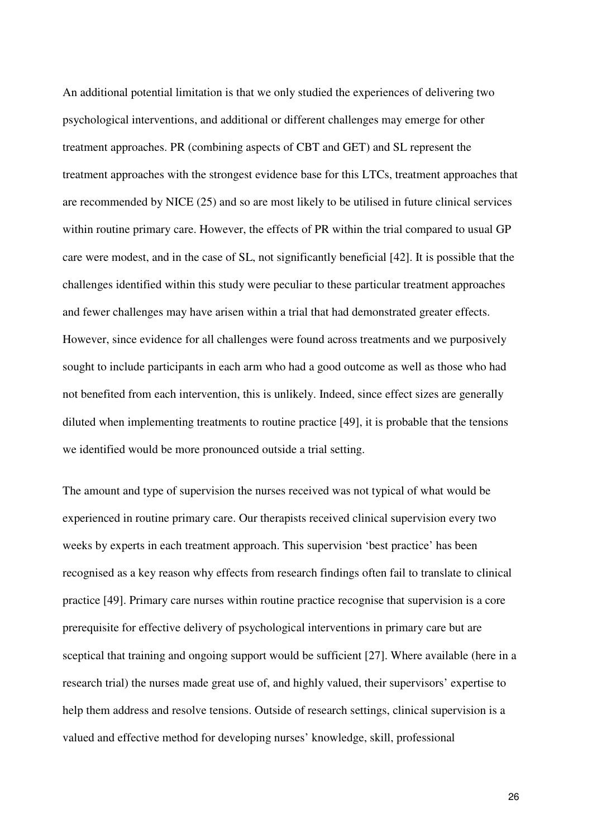An additional potential limitation is that we only studied the experiences of delivering two psychological interventions, and additional or different challenges may emerge for other treatment approaches. PR (combining aspects of CBT and GET) and SL represent the treatment approaches with the strongest evidence base for this LTCs, treatment approaches that are recommended by NICE (25) and so are most likely to be utilised in future clinical services within routine primary care. However, the effects of PR within the trial compared to usual GP care were modest, and in the case of SL, not significantly beneficial [42]. It is possible that the challenges identified within this study were peculiar to these particular treatment approaches and fewer challenges may have arisen within a trial that had demonstrated greater effects. However, since evidence for all challenges were found across treatments and we purposively sought to include participants in each arm who had a good outcome as well as those who had not benefited from each intervention, this is unlikely. Indeed, since effect sizes are generally diluted when implementing treatments to routine practice [49], it is probable that the tensions we identified would be more pronounced outside a trial setting.

The amount and type of supervision the nurses received was not typical of what would be experienced in routine primary care. Our therapists received clinical supervision every two weeks by experts in each treatment approach. This supervision 'best practice' has been recognised as a key reason why effects from research findings often fail to translate to clinical practice [49]. Primary care nurses within routine practice recognise that supervision is a core prerequisite for effective delivery of psychological interventions in primary care but are sceptical that training and ongoing support would be sufficient [27]. Where available (here in a research trial) the nurses made great use of, and highly valued, their supervisors' expertise to help them address and resolve tensions. Outside of research settings, clinical supervision is a valued and effective method for developing nurses' knowledge, skill, professional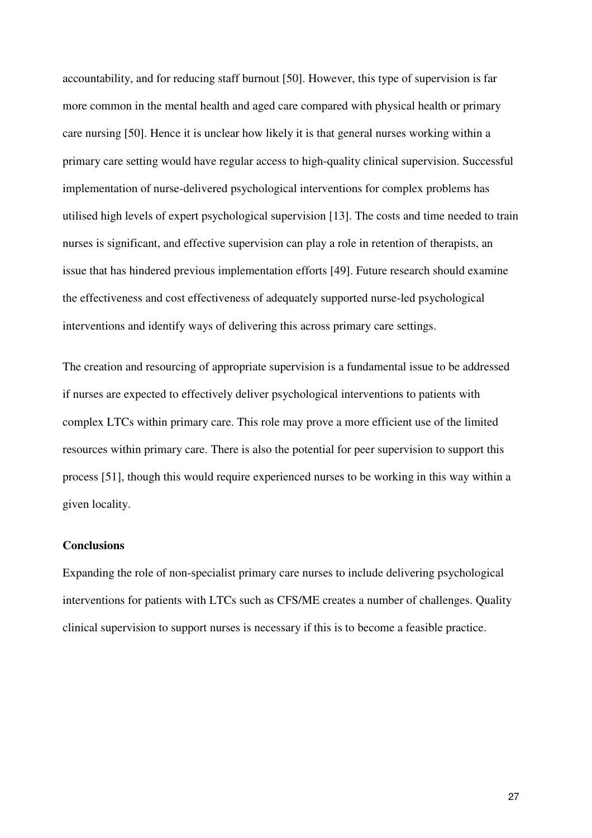accountability, and for reducing staff burnout [50]. However, this type of supervision is far more common in the mental health and aged care compared with physical health or primary care nursing [50]. Hence it is unclear how likely it is that general nurses working within a primary care setting would have regular access to high-quality clinical supervision. Successful implementation of nurse-delivered psychological interventions for complex problems has utilised high levels of expert psychological supervision [13]. The costs and time needed to train nurses is significant, and effective supervision can play a role in retention of therapists, an issue that has hindered previous implementation efforts [49]. Future research should examine the effectiveness and cost effectiveness of adequately supported nurse-led psychological interventions and identify ways of delivering this across primary care settings.

The creation and resourcing of appropriate supervision is a fundamental issue to be addressed if nurses are expected to effectively deliver psychological interventions to patients with complex LTCs within primary care. This role may prove a more efficient use of the limited resources within primary care. There is also the potential for peer supervision to support this process [51], though this would require experienced nurses to be working in this way within a given locality.

## **Conclusions**

Expanding the role of non-specialist primary care nurses to include delivering psychological interventions for patients with LTCs such as CFS/ME creates a number of challenges. Quality clinical supervision to support nurses is necessary if this is to become a feasible practice.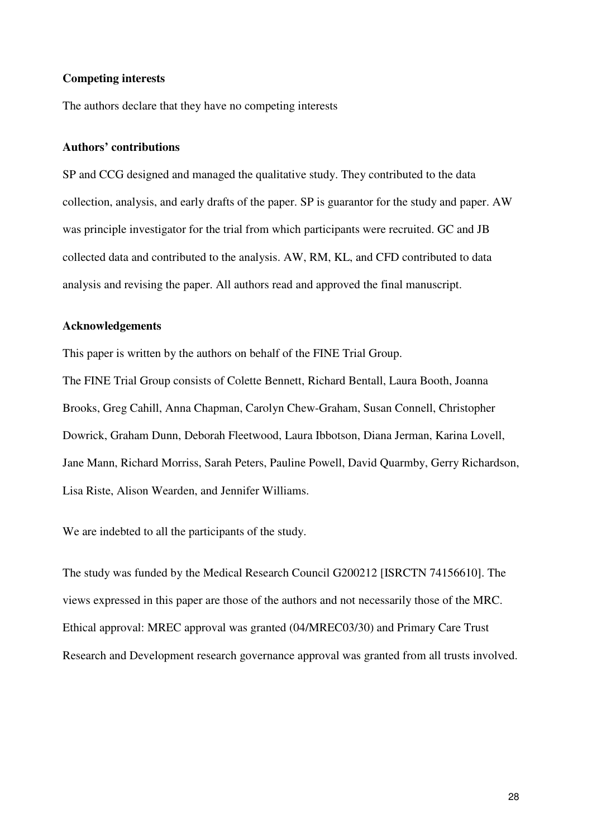### **Competing interests**

The authors declare that they have no competing interests

## **Authors' contributions**

SP and CCG designed and managed the qualitative study. They contributed to the data collection, analysis, and early drafts of the paper. SP is guarantor for the study and paper. AW was principle investigator for the trial from which participants were recruited. GC and JB collected data and contributed to the analysis. AW, RM, KL, and CFD contributed to data analysis and revising the paper. All authors read and approved the final manuscript.

### **Acknowledgements**

This paper is written by the authors on behalf of the FINE Trial Group.

The FINE Trial Group consists of Colette Bennett, Richard Bentall, Laura Booth, Joanna Brooks, Greg Cahill, Anna Chapman, Carolyn Chew-Graham, Susan Connell, Christopher Dowrick, Graham Dunn, Deborah Fleetwood, Laura Ibbotson, Diana Jerman, Karina Lovell, Jane Mann, Richard Morriss, Sarah Peters, Pauline Powell, David Quarmby, Gerry Richardson, Lisa Riste, Alison Wearden, and Jennifer Williams.

We are indebted to all the participants of the study.

The study was funded by the Medical Research Council G200212 [ISRCTN 74156610]. The views expressed in this paper are those of the authors and not necessarily those of the MRC. Ethical approval: MREC approval was granted (04/MREC03/30) and Primary Care Trust Research and Development research governance approval was granted from all trusts involved.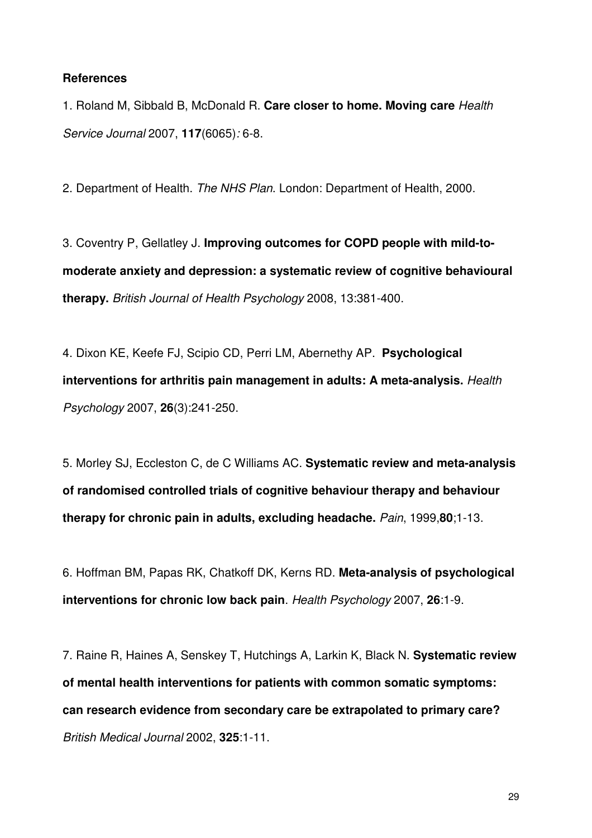## **References**

1. Roland M, Sibbald B, McDonald R. **Care closer to home. Moving care** *Health Service Journal* 2007, **117**(6065)*:* 6-8.

2. Department of Health. *The NHS Plan*. London: Department of Health, 2000.

3. Coventry P, Gellatley J. **Improving outcomes for COPD people with mild-tomoderate anxiety and depression: a systematic review of cognitive behavioural therapy.** *British Journal of Health Psychology* 2008, 13:381-400.

4. Dixon KE, Keefe FJ, Scipio CD, Perri LM, Abernethy AP. **Psychological interventions for arthritis pain management in adults: A meta-analysis.** *Health Psychology* 2007, **26**(3):241-250.

5. Morley SJ, Eccleston C, de C Williams AC. **Systematic review and meta-analysis of randomised controlled trials of cognitive behaviour therapy and behaviour therapy for chronic pain in adults, excluding headache.** *Pain*, 1999,**80**;1-13.

6. Hoffman BM, Papas RK, Chatkoff DK, Kerns RD. **Meta-analysis of psychological interventions for chronic low back pain**. *Health Psychology* 2007, **26**:1-9.

7. Raine R, Haines A, Senskey T, Hutchings A, Larkin K, Black N. **Systematic review of mental health interventions for patients with common somatic symptoms: can research evidence from secondary care be extrapolated to primary care?** *British Medical Journal* 2002, **325**:1-11.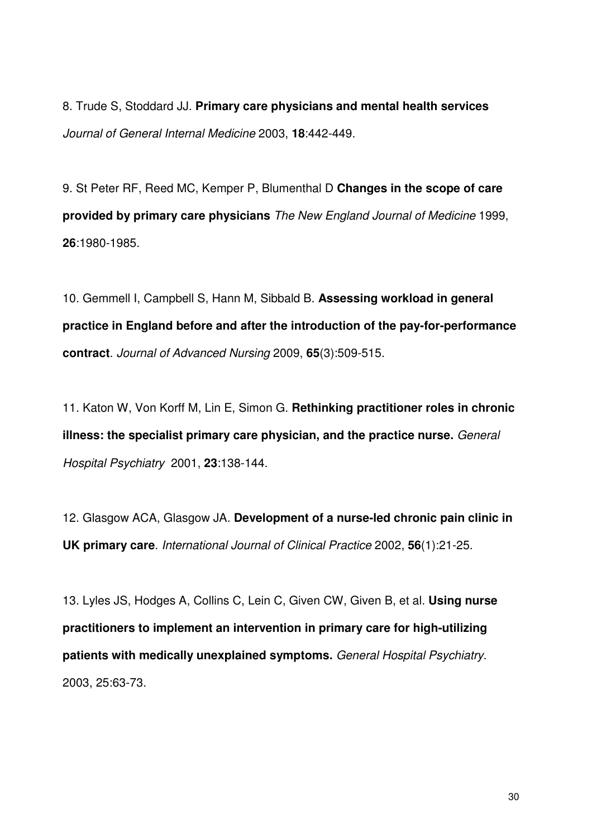8. Trude S, Stoddard JJ. **Primary care physicians and mental health services** *Journal of General Internal Medicine* 2003, **18**:442-449.

9. St Peter RF, Reed MC, Kemper P, Blumenthal D **Changes in the scope of care provided by primary care physicians** *The New England Journal of Medicine* 1999, **26**:1980-1985.

10. Gemmell I, Campbell S, Hann M, Sibbald B. **Assessing workload in general practice in England before and after the introduction of the pay-for-performance contract**. *Journal of Advanced Nursing* 2009, **65**(3):509-515.

11. Katon W, Von Korff M, Lin E, Simon G. **Rethinking practitioner roles in chronic illness: the specialist primary care physician, and the practice nurse.** *General Hospital Psychiatry* 2001, **23**:138-144.

12. Glasgow ACA, Glasgow JA. **Development of a nurse-led chronic pain clinic in UK primary care**. *International Journal of Clinical Practice* 2002, **56**(1):21-25.

13. Lyles JS, Hodges A, Collins C, Lein C, Given CW, Given B, et al. **Using nurse practitioners to implement an intervention in primary care for high-utilizing patients with medically unexplained symptoms.** *General Hospital Psychiatry*. 2003, 25:63-73.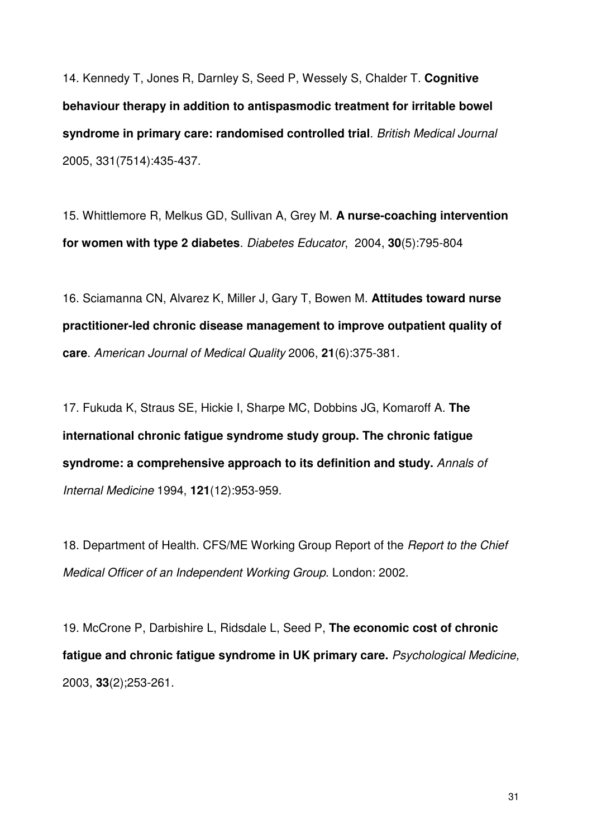14. Kennedy T, Jones R, Darnley S, Seed P, Wessely S, Chalder T. **Cognitive behaviour therapy in addition to antispasmodic treatment for irritable bowel syndrome in primary care: randomised controlled trial**. *British Medical Journal* 2005, 331(7514):435-437.

15. Whittlemore R, Melkus GD, Sullivan A, Grey M. **A nurse-coaching intervention for women with type 2 diabetes**. *Diabetes Educator*, 2004, **30**(5):795-804

16. Sciamanna CN, Alvarez K, Miller J, Gary T, Bowen M. **Attitudes toward nurse practitioner-led chronic disease management to improve outpatient quality of care**. *American Journal of Medical Quality* 2006, **21**(6):375-381.

17. Fukuda K, Straus SE, Hickie I, Sharpe MC, Dobbins JG, Komaroff A. **The international chronic fatigue syndrome study group. The chronic fatigue syndrome: a comprehensive approach to its definition and study.** *Annals of Internal Medicine* 1994, **121**(12):953-959.

18. Department of Health. CFS/ME Working Group Report of the *Report to the Chief Medical Officer of an Independent Working Group*. London: 2002.

19. McCrone P, Darbishire L, Ridsdale L, Seed P, **The economic cost of chronic fatigue and chronic fatigue syndrome in UK primary care.** *Psychological Medicine,*  2003, **33**(2);253-261.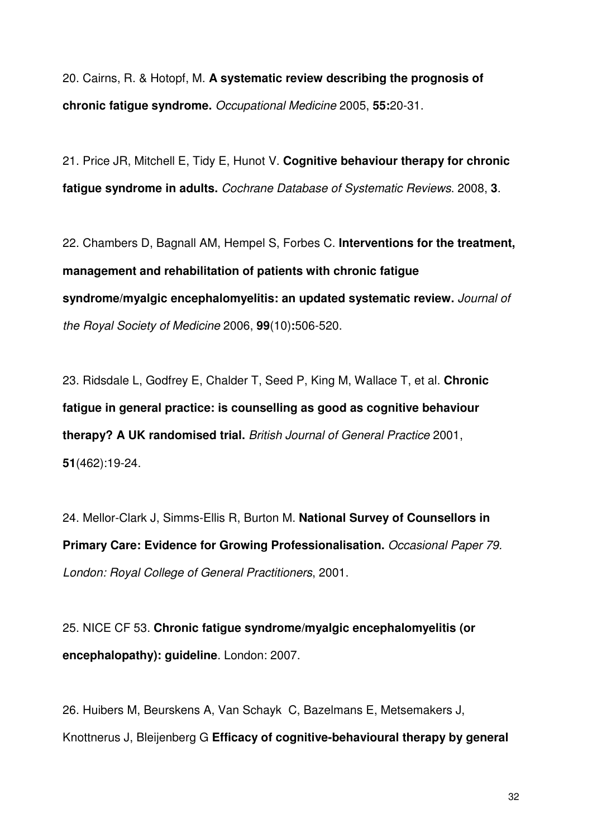20. Cairns, R. & Hotopf, M. **A systematic review describing the prognosis of chronic fatigue syndrome.** *Occupational Medicine* 2005, **55:**20-31.

21. Price JR, Mitchell E, Tidy E, Hunot V. **Cognitive behaviour therapy for chronic fatigue syndrome in adults.** *Cochrane Database of Systematic Reviews*. 2008, **3**.

22. Chambers D, Bagnall AM, Hempel S, Forbes C. **Interventions for the treatment, management and rehabilitation of patients with chronic fatigue syndrome/myalgic encephalomyelitis: an updated systematic review.** *Journal of the Royal Society of Medicine* 2006, **99**(10)**:**506-520.

23. Ridsdale L, Godfrey E, Chalder T, Seed P, King M, Wallace T, et al. **Chronic fatigue in general practice: is counselling as good as cognitive behaviour therapy? A UK randomised trial.** *British Journal of General Practice* 2001, **51**(462):19-24.

24. Mellor-Clark J, Simms-Ellis R, Burton M. **National Survey of Counsellors in Primary Care: Evidence for Growing Professionalisation.** *Occasional Paper 79. London: Royal College of General Practitioners*, 2001.

25. NICE CF 53. **Chronic fatigue syndrome/myalgic encephalomyelitis (or encephalopathy): guideline**. London: 2007.

26. Huibers M, Beurskens A, Van Schayk C, Bazelmans E, Metsemakers J, Knottnerus J, Bleijenberg G **Efficacy of cognitive-behavioural therapy by general**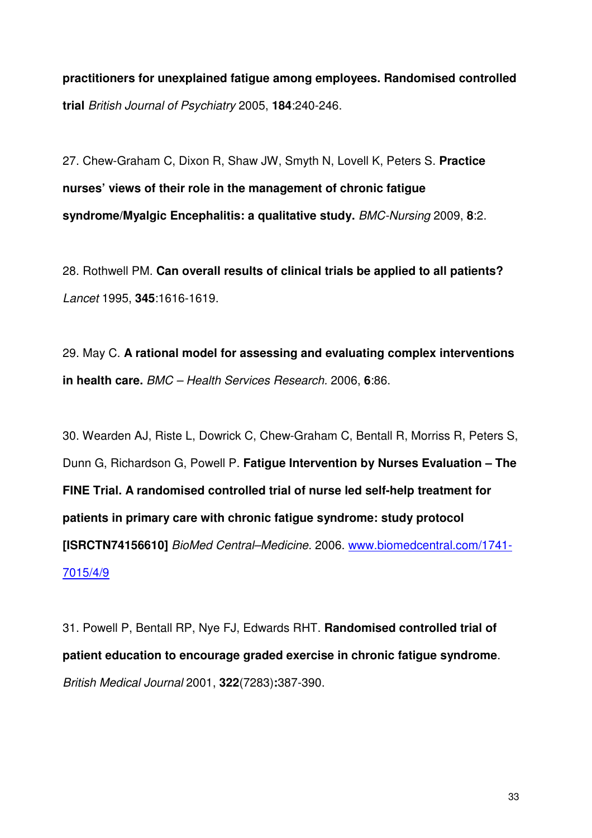**practitioners for unexplained fatigue among employees. Randomised controlled trial** *British Journal of Psychiatry* 2005, **184**:240-246.

27. Chew-Graham C, Dixon R, Shaw JW, Smyth N, Lovell K, Peters S. **Practice nurses' views of their role in the management of chronic fatigue syndrome/Myalgic Encephalitis: a qualitative study.** *BMC-Nursing* 2009, **8**:2.

28. Rothwell PM. **Can overall results of clinical trials be applied to all patients?**  *Lancet* 1995, **345**:1616-1619.

29. May C. **A rational model for assessing and evaluating complex interventions in health care.** *BMC – Health Services Research.* 2006, **6**:86.

30. Wearden AJ, Riste L, Dowrick C, Chew-Graham C, Bentall R, Morriss R, Peters S, Dunn G, Richardson G, Powell P. **Fatigue Intervention by Nurses Evaluation – The FINE Trial. A randomised controlled trial of nurse led self-help treatment for patients in primary care with chronic fatigue syndrome: study protocol [ISRCTN74156610]** *BioMed Central–Medicine.* 2006. www.biomedcentral.com/1741- 7015/4/9

31. Powell P, Bentall RP, Nye FJ, Edwards RHT. **Randomised controlled trial of patient education to encourage graded exercise in chronic fatigue syndrome**. *British Medical Journal* 2001, **322**(7283)**:**387-390.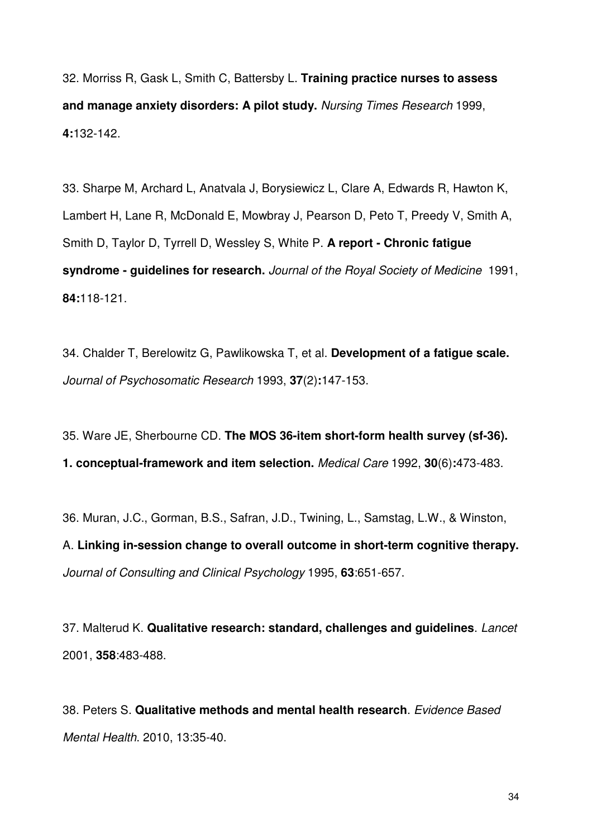32. Morriss R, Gask L, Smith C, Battersby L. **Training practice nurses to assess and manage anxiety disorders: A pilot study.** *Nursing Times Research* 1999, **4:**132-142.

33. Sharpe M, Archard L, Anatvala J, Borysiewicz L, Clare A, Edwards R, Hawton K, Lambert H, Lane R, McDonald E, Mowbray J, Pearson D, Peto T, Preedy V, Smith A, Smith D, Taylor D, Tyrrell D, Wessley S, White P. **A report - Chronic fatigue syndrome - guidelines for research.** *Journal of the Royal Society of Medicine* 1991, **84:**118-121.

34. Chalder T, Berelowitz G, Pawlikowska T, et al. **Development of a fatigue scale.** *Journal of Psychosomatic Research* 1993, **37**(2)**:**147-153.

35. Ware JE, Sherbourne CD. **The MOS 36-item short-form health survey (sf-36). 1. conceptual-framework and item selection.** *Medical Care* 1992, **30**(6)**:**473-483.

36. Muran, J.C., Gorman, B.S., Safran, J.D., Twining, L., Samstag, L.W., & Winston, A. **Linking in-session change to overall outcome in short-term cognitive therapy.** *Journal of Consulting and Clinical Psychology* 1995, **63**:651-657.

37. Malterud K. **Qualitative research: standard, challenges and guidelines**. *Lancet* 2001, **358**:483-488.

38. Peters S. **Qualitative methods and mental health research**. *Evidence Based Mental Health*. 2010, 13:35-40.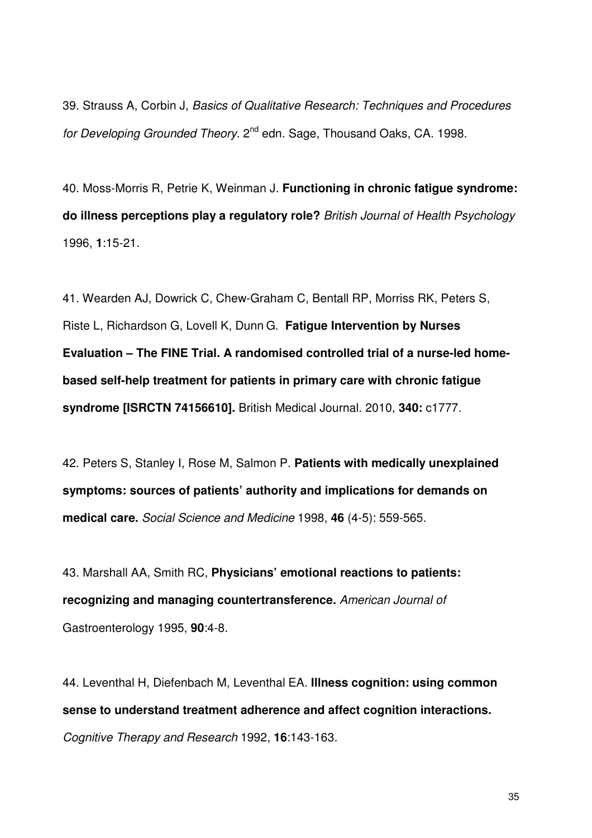39. Strauss A, Corbin J, *Basics of Qualitative Research: Techniques and Procedures*  for Developing Grounded Theory. 2<sup>nd</sup> edn. Sage, Thousand Oaks, CA. 1998.

40. Moss-Morris R, Petrie K, Weinman J. **Functioning in chronic fatigue syndrome: do illness perceptions play a regulatory role?** *British Journal of Health Psychology*  1996, **1**:15-21.

41. Wearden AJ, Dowrick C, Chew-Graham C, Bentall RP, Morriss RK, Peters S, Riste L, Richardson G, Lovell K, Dunn G. **Fatigue Intervention by Nurses Evaluation – The FINE Trial. A randomised controlled trial of a nurse-led homebased self-help treatment for patients in primary care with chronic fatigue syndrome [ISRCTN 74156610].** British Medical Journal. 2010, **340:** c1777.

42. Peters S, Stanley I, Rose M, Salmon P. **Patients with medically unexplained symptoms: sources of patients' authority and implications for demands on medical care.** *Social Science and Medicine* 1998, **46** (4-5): 559-565.

43. Marshall AA, Smith RC, **Physicians' emotional reactions to patients: recognizing and managing countertransference.** *American Journal of*  Gastroenterology 1995, **90**:4-8.

44. Leventhal H, Diefenbach M, Leventhal EA. **Illness cognition: using common sense to understand treatment adherence and affect cognition interactions.** *Cognitive Therapy and Research* 1992, **16**:143-163.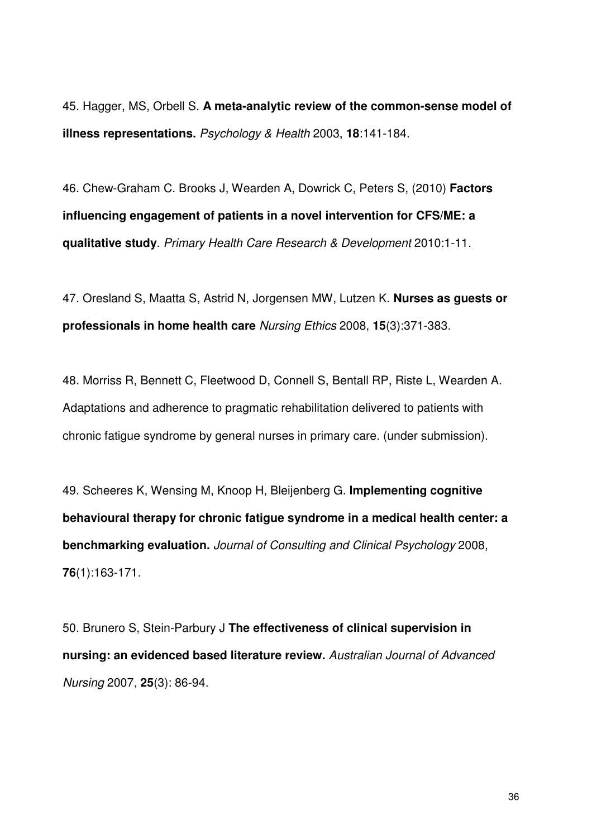45. Hagger, MS, Orbell S. **A meta-analytic review of the common-sense model of illness representations.** *Psychology & Health* 2003, **18**:141-184.

46. Chew-Graham C. Brooks J, Wearden A, Dowrick C, Peters S, (2010) **Factors influencing engagement of patients in a novel intervention for CFS/ME: a qualitative study**. *Primary Health Care Research & Development* 2010:1-11.

47. Oresland S, Maatta S, Astrid N, Jorgensen MW, Lutzen K. **Nurses as guests or professionals in home health care** *Nursing Ethics* 2008, **15**(3):371-383.

48. Morriss R, Bennett C, Fleetwood D, Connell S, Bentall RP, Riste L, Wearden A. Adaptations and adherence to pragmatic rehabilitation delivered to patients with chronic fatigue syndrome by general nurses in primary care. (under submission).

49. Scheeres K, Wensing M, Knoop H, Bleijenberg G. **Implementing cognitive behavioural therapy for chronic fatigue syndrome in a medical health center: a benchmarking evaluation.** *Journal of Consulting and Clinical Psychology* 2008, **76**(1):163-171.

50. Brunero S, Stein-Parbury J **The effectiveness of clinical supervision in nursing: an evidenced based literature review.** *Australian Journal of Advanced Nursing* 2007, **25**(3): 86-94.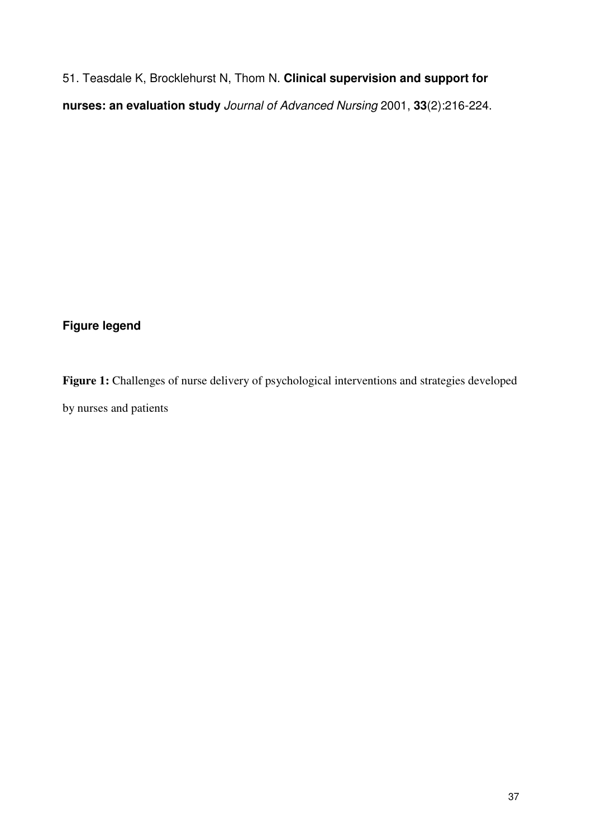51. Teasdale K, Brocklehurst N, Thom N. **Clinical supervision and support for nurses: an evaluation study** *Journal of Advanced Nursing* 2001, **33**(2):216-224.

## **Figure legend**

Figure 1: Challenges of nurse delivery of psychological interventions and strategies developed by nurses and patients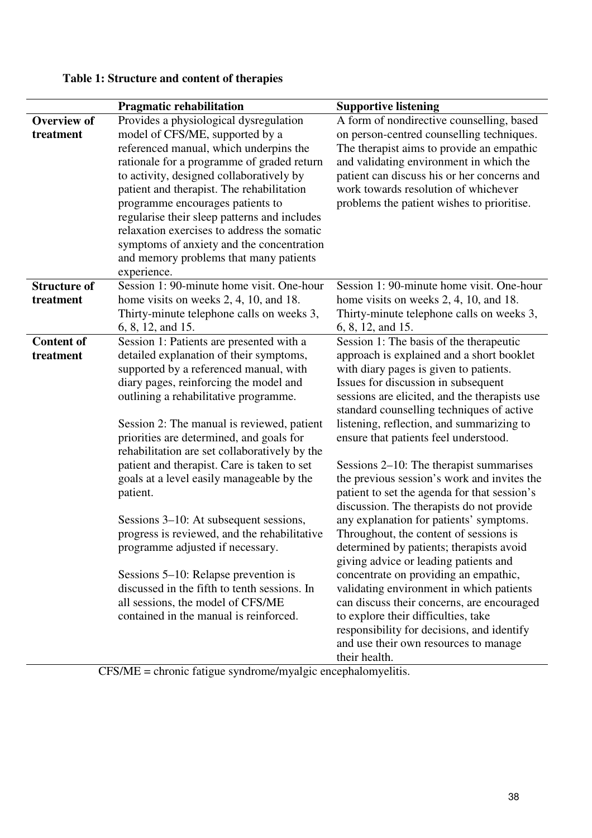|                     | <b>Pragmatic rehabilitation</b>                                                          | <b>Supportive listening</b>                                                            |
|---------------------|------------------------------------------------------------------------------------------|----------------------------------------------------------------------------------------|
| <b>Overview of</b>  | Provides a physiological dysregulation                                                   | A form of nondirective counselling, based                                              |
| treatment           | model of CFS/ME, supported by a                                                          | on person-centred counselling techniques.                                              |
|                     | referenced manual, which underpins the                                                   | The therapist aims to provide an empathic                                              |
|                     | rationale for a programme of graded return                                               | and validating environment in which the                                                |
|                     | to activity, designed collaboratively by                                                 | patient can discuss his or her concerns and                                            |
|                     | patient and therapist. The rehabilitation                                                | work towards resolution of whichever                                                   |
|                     | programme encourages patients to                                                         | problems the patient wishes to prioritise.                                             |
|                     | regularise their sleep patterns and includes                                             |                                                                                        |
|                     | relaxation exercises to address the somatic                                              |                                                                                        |
|                     | symptoms of anxiety and the concentration                                                |                                                                                        |
|                     | and memory problems that many patients                                                   |                                                                                        |
|                     | experience.                                                                              |                                                                                        |
| <b>Structure of</b> | Session 1: 90-minute home visit. One-hour                                                | Session 1: 90-minute home visit. One-hour                                              |
| treatment           | home visits on weeks 2, 4, 10, and 18.                                                   | home visits on weeks 2, 4, 10, and 18.                                                 |
|                     | Thirty-minute telephone calls on weeks 3,                                                | Thirty-minute telephone calls on weeks 3,                                              |
|                     | 6, 8, 12, and 15.                                                                        | 6, 8, 12, and 15.                                                                      |
| <b>Content of</b>   | Session 1: Patients are presented with a                                                 | Session 1: The basis of the therapeutic                                                |
| treatment           | detailed explanation of their symptoms,                                                  | approach is explained and a short booklet                                              |
|                     | supported by a referenced manual, with                                                   | with diary pages is given to patients.                                                 |
|                     | diary pages, reinforcing the model and                                                   | Issues for discussion in subsequent                                                    |
|                     | outlining a rehabilitative programme.                                                    | sessions are elicited, and the therapists use                                          |
|                     |                                                                                          | standard counselling techniques of active                                              |
|                     | Session 2: The manual is reviewed, patient                                               | listening, reflection, and summarizing to                                              |
|                     | priorities are determined, and goals for                                                 | ensure that patients feel understood.                                                  |
|                     | rehabilitation are set collaboratively by the                                            |                                                                                        |
|                     | patient and therapist. Care is taken to set<br>goals at a level easily manageable by the | Sessions 2–10: The therapist summarises<br>the previous session's work and invites the |
|                     | patient.                                                                                 | patient to set the agenda for that session's                                           |
|                     |                                                                                          | discussion. The therapists do not provide                                              |
|                     | Sessions 3–10: At subsequent sessions,                                                   | any explanation for patients' symptoms.                                                |
|                     | progress is reviewed, and the rehabilitative                                             | Throughout, the content of sessions is                                                 |
|                     | programme adjusted if necessary.                                                         | determined by patients; therapists avoid                                               |
|                     |                                                                                          | giving advice or leading patients and                                                  |
|                     | Sessions 5–10: Relapse prevention is                                                     | concentrate on providing an empathic,                                                  |
|                     | discussed in the fifth to tenth sessions. In                                             | validating environment in which patients                                               |
|                     | all sessions, the model of CFS/ME                                                        | can discuss their concerns, are encouraged                                             |
|                     | contained in the manual is reinforced.                                                   | to explore their difficulties, take                                                    |
|                     |                                                                                          | responsibility for decisions, and identify                                             |
|                     |                                                                                          | and use their own resources to manage                                                  |
|                     |                                                                                          | their health.                                                                          |
|                     | $CECATE$ showing fations are desired formalize                                           |                                                                                        |

# **Table 1: Structure and content of therapies**

CFS/ME = chronic fatigue syndrome/myalgic encephalomyelitis.